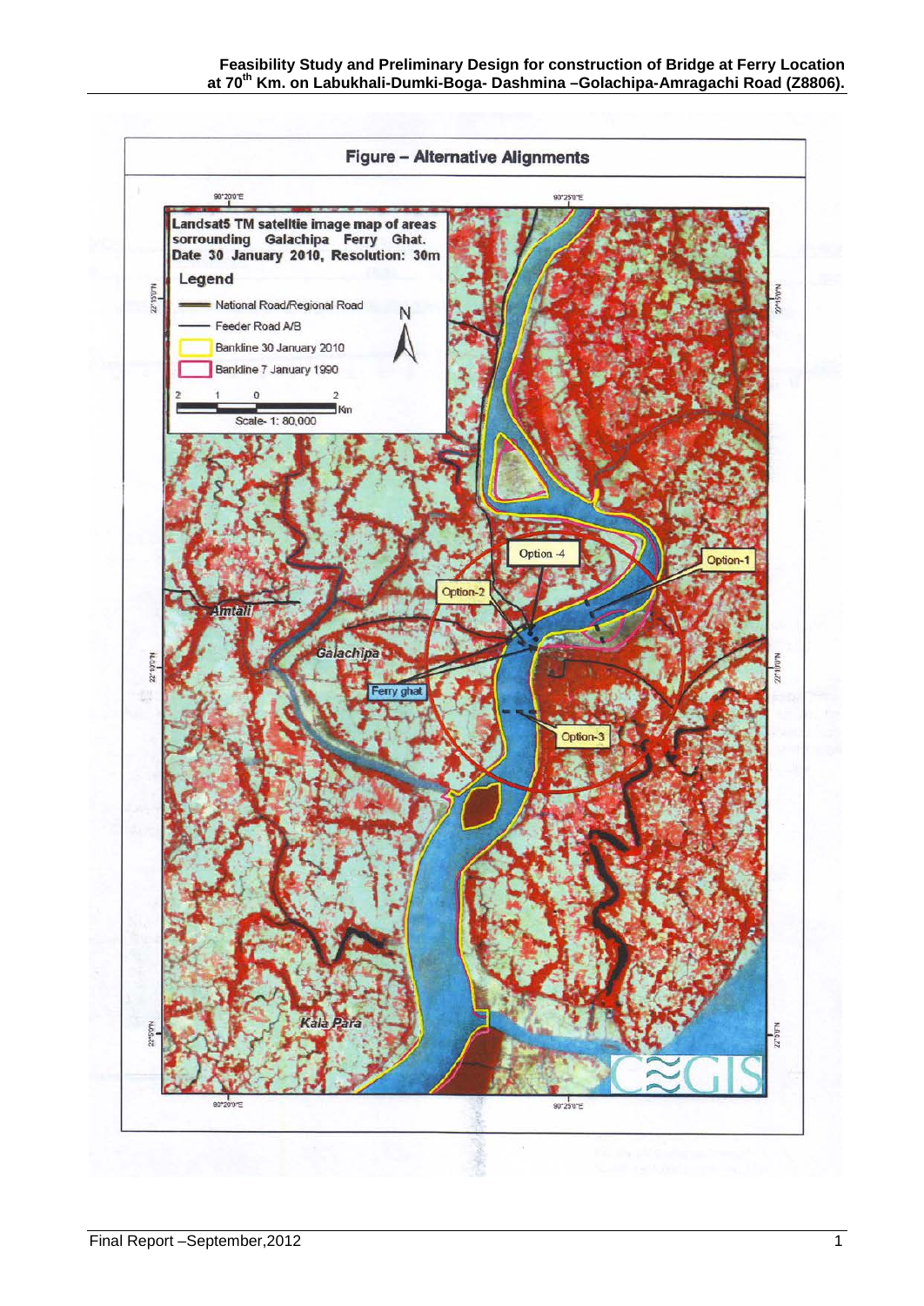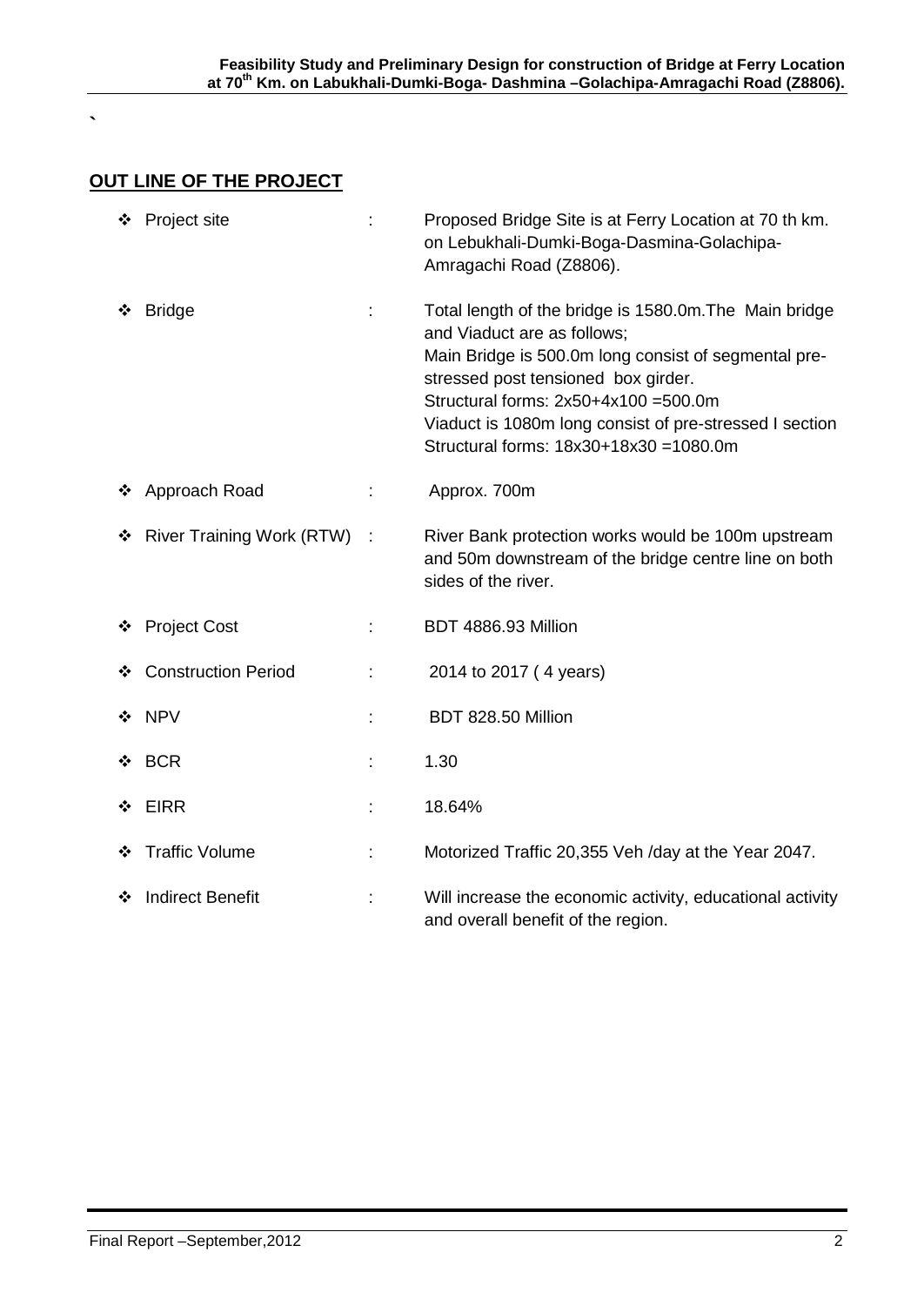## **OUT LINE OF THE PROJECT**

**`**

|   | ❖ Project site                   |   | Proposed Bridge Site is at Ferry Location at 70 th km.<br>on Lebukhali-Dumki-Boga-Dasmina-Golachipa-<br>Amragachi Road (Z8806).                                                                                                                                                                                                   |
|---|----------------------------------|---|-----------------------------------------------------------------------------------------------------------------------------------------------------------------------------------------------------------------------------------------------------------------------------------------------------------------------------------|
| ❖ | <b>Bridge</b>                    |   | Total length of the bridge is 1580.0m. The Main bridge<br>and Viaduct are as follows;<br>Main Bridge is 500.0m long consist of segmental pre-<br>stressed post tensioned box girder.<br>Structural forms: 2x50+4x100 =500.0m<br>Viaduct is 1080m long consist of pre-stressed I section<br>Structural forms: 18x30+18x30 =1080.0m |
|   | ❖ Approach Road                  |   | Approx. 700m                                                                                                                                                                                                                                                                                                                      |
| ❖ | <b>River Training Work (RTW)</b> |   | River Bank protection works would be 100m upstream<br>and 50m downstream of the bridge centre line on both<br>sides of the river.                                                                                                                                                                                                 |
|   | ❖ Project Cost                   |   | BDT 4886.93 Million                                                                                                                                                                                                                                                                                                               |
|   | ❖ Construction Period            |   | 2014 to 2017 (4 years)                                                                                                                                                                                                                                                                                                            |
|   | ❖ NPV                            |   | BDT 828.50 Million                                                                                                                                                                                                                                                                                                                |
| ❖ | <b>BCR</b>                       |   | 1.30                                                                                                                                                                                                                                                                                                                              |
| ❖ | <b>EIRR</b>                      | t | 18.64%                                                                                                                                                                                                                                                                                                                            |
|   | ❖ Traffic Volume                 |   | Motorized Traffic 20,355 Veh /day at the Year 2047.                                                                                                                                                                                                                                                                               |
| ❖ | <b>Indirect Benefit</b>          |   | Will increase the economic activity, educational activity<br>and overall benefit of the region.                                                                                                                                                                                                                                   |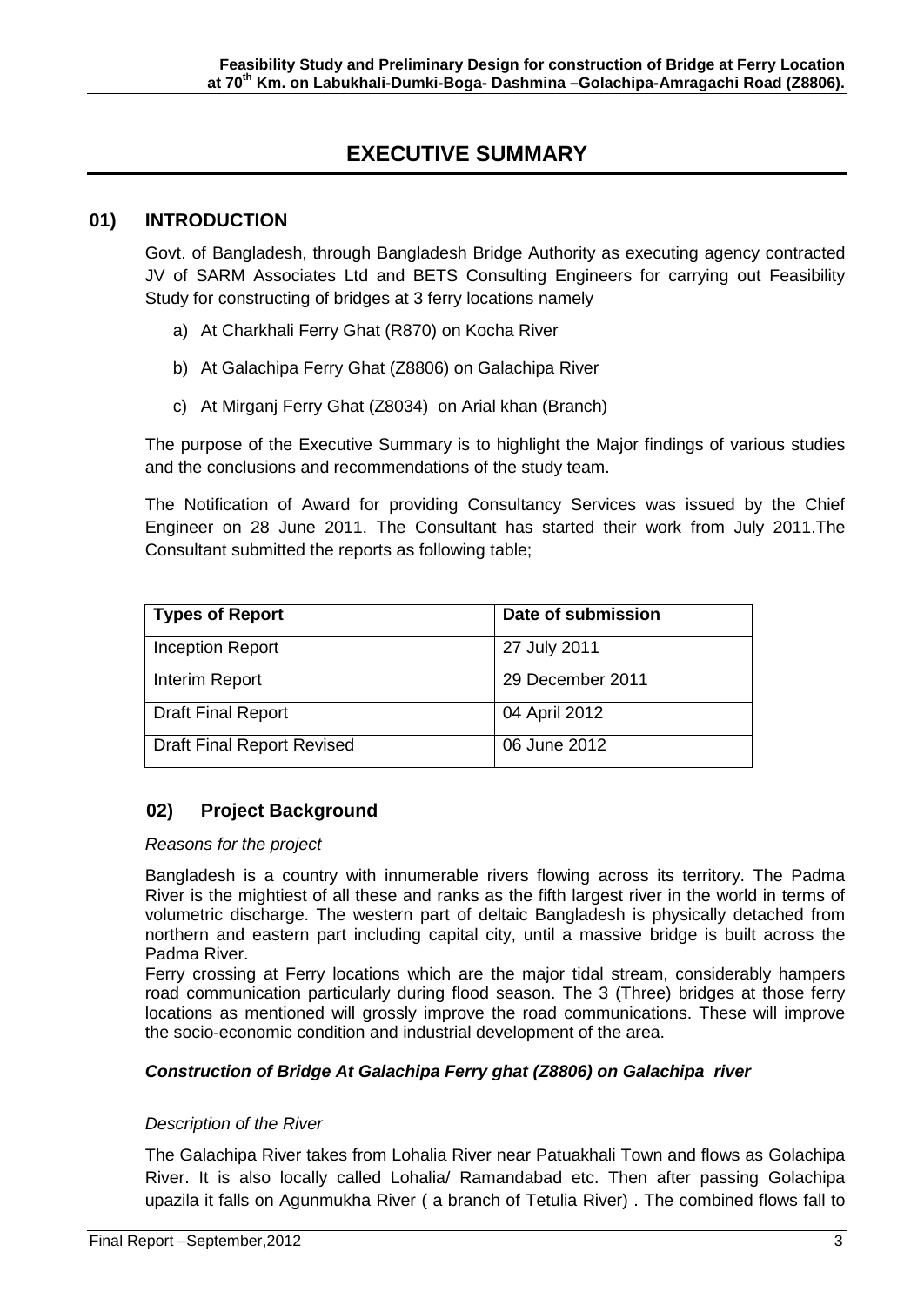## **EXECUTIVE SUMMARY**

#### **01) INTRODUCTION**

Govt. of Bangladesh, through Bangladesh Bridge Authority as executing agency contracted JV of SARM Associates Ltd and BETS Consulting Engineers for carrying out Feasibility Study for constructing of bridges at 3 ferry locations namely

- a) At Charkhali Ferry Ghat (R870) on Kocha River
- b) At Galachipa Ferry Ghat (Z8806) on Galachipa River
- c) At Mirganj Ferry Ghat (Z8034) on Arial khan (Branch)

The purpose of the Executive Summary is to highlight the Major findings of various studies and the conclusions and recommendations of the study team.

The Notification of Award for providing Consultancy Services was issued by the Chief Engineer on 28 June 2011. The Consultant has started their work from July 2011.The Consultant submitted the reports as following table;

| <b>Types of Report</b>            | Date of submission |
|-----------------------------------|--------------------|
| <b>Inception Report</b>           | 27 July 2011       |
| Interim Report                    | 29 December 2011   |
| <b>Draft Final Report</b>         | 04 April 2012      |
| <b>Draft Final Report Revised</b> | 06 June 2012       |

## **02) Project Background**

#### *Reasons for the project*

Bangladesh is a country with innumerable rivers flowing across its territory. The Padma River is the mightiest of all these and ranks as the fifth largest river in the world in terms of volumetric discharge. The western part of deltaic Bangladesh is physically detached from northern and eastern part including capital city, until a massive bridge is built across the Padma River.

Ferry crossing at Ferry locations which are the major tidal stream, considerably hampers road communication particularly during flood season. The 3 (Three) bridges at those ferry locations as mentioned will grossly improve the road communications. These will improve the socio-economic condition and industrial development of the area.

#### *Construction of Bridge At Galachipa Ferry ghat (Z8806) on Galachipa river*

#### *Description of the River*

The Galachipa River takes from Lohalia River near Patuakhali Town and flows as Golachipa River. It is also locally called Lohalia/ Ramandabad etc. Then after passing Golachipa upazila it falls on Agunmukha River ( a branch of Tetulia River) . The combined flows fall to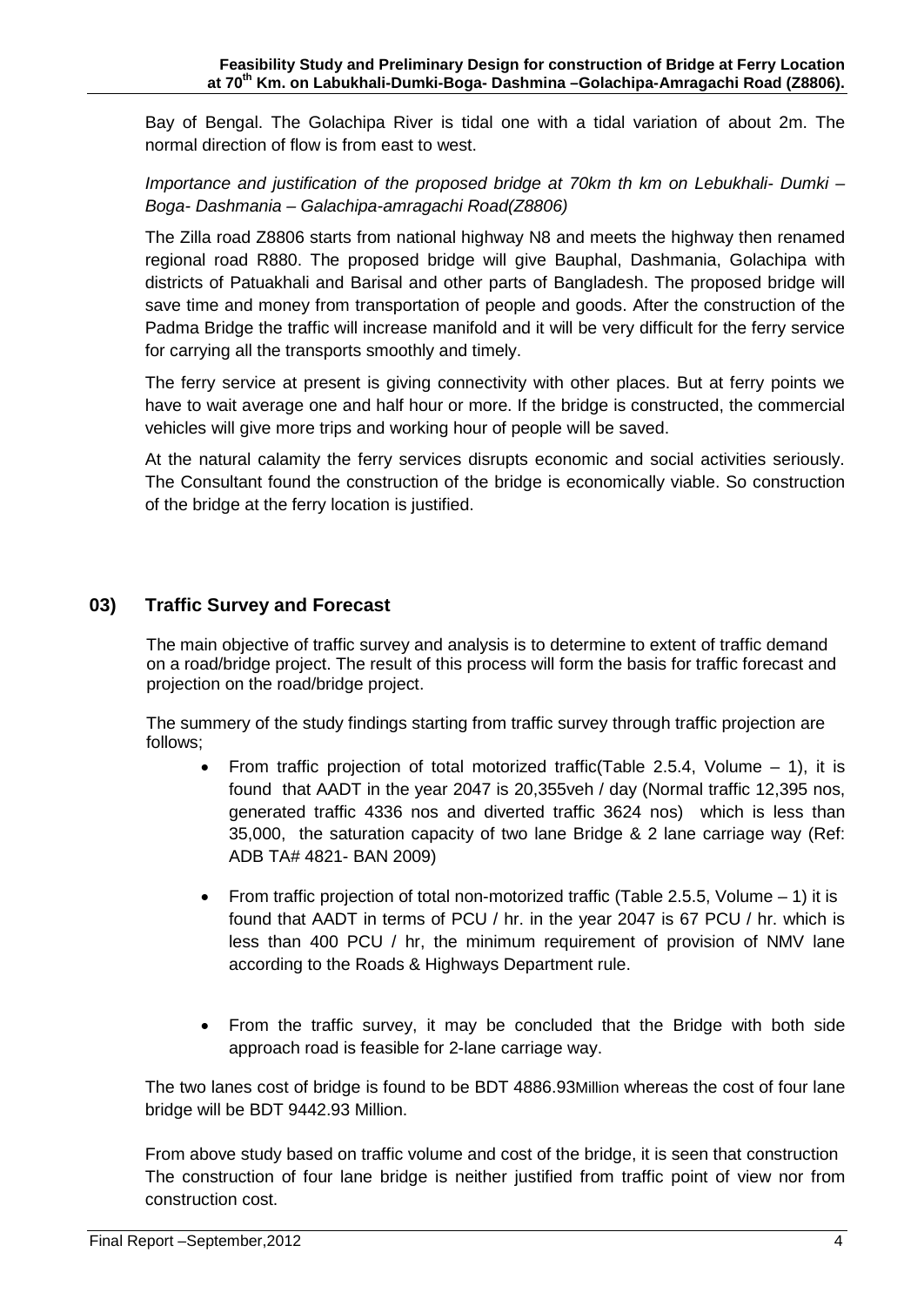Bay of Bengal. The Golachipa River is tidal one with a tidal variation of about 2m. The normal direction of flow is from east to west.

*Importance and justification of the proposed bridge at 70km th km on Lebukhali- Dumki – Boga- Dashmania – Galachipa-amragachi Road(Z8806)*

The Zilla road Z8806 starts from national highway N8 and meets the highway then renamed regional road R880. The proposed bridge will give Bauphal, Dashmania, Golachipa with districts of Patuakhali and Barisal and other parts of Bangladesh. The proposed bridge will save time and money from transportation of people and goods. After the construction of the Padma Bridge the traffic will increase manifold and it will be very difficult for the ferry service for carrying all the transports smoothly and timely.

The ferry service at present is giving connectivity with other places. But at ferry points we have to wait average one and half hour or more. If the bridge is constructed, the commercial vehicles will give more trips and working hour of people will be saved.

At the natural calamity the ferry services disrupts economic and social activities seriously. The Consultant found the construction of the bridge is economically viable. So construction of the bridge at the ferry location is justified.

## **03) Traffic Survey and Forecast**

 The main objective of traffic survey and analysis is to determine to extent of traffic demand on a road/bridge project. The result of this process will form the basis for traffic forecast and projection on the road/bridge project.

 The summery of the study findings starting from traffic survey through traffic projection are follows;

- From traffic projection of total motorized traffic  $(Table 2.5.4, Volume 1)$ , it is found that AADT in the year 2047 is 20,355veh / day (Normal traffic 12,395 nos, generated traffic 4336 nos and diverted traffic 3624 nos) which is less than 35,000, the saturation capacity of two lane Bridge & 2 lane carriage way (Ref: ADB TA# 4821- BAN 2009)
- From traffic projection of total non-motorized traffic (Table 2.5.5, Volume  $-1$ ) it is found that AADT in terms of PCU / hr. in the year 2047 is 67 PCU / hr. which is less than 400 PCU / hr, the minimum requirement of provision of NMV lane according to the Roads & Highways Department rule.
- From the traffic survey, it may be concluded that the Bridge with both side approach road is feasible for 2-lane carriage way.

The two lanes cost of bridge is found to be BDT 4886.93Million whereas the cost of four lane bridge will be BDT 9442.93 Million.

From above study based on traffic volume and cost of the bridge, it is seen that construction The construction of four lane bridge is neither justified from traffic point of view nor from construction cost.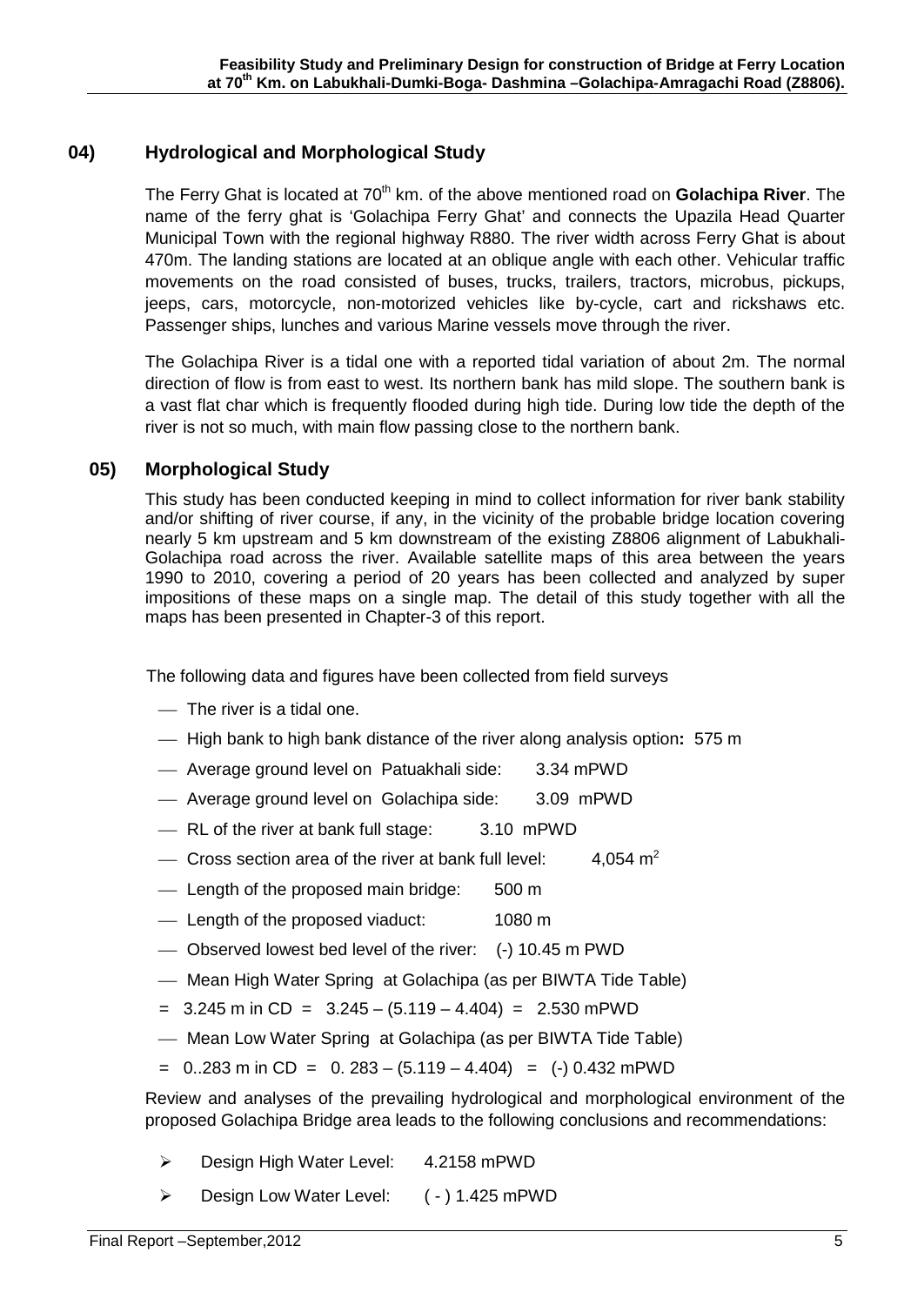## **04) Hydrological and Morphological Study**

The Ferry Ghat is located at 70<sup>th</sup> km. of the above mentioned road on Golachipa River. The name of the ferry ghat is 'Golachipa Ferry Ghat' and connects the Upazila Head Quarter Municipal Town with the regional highway R880. The river width across Ferry Ghat is about 470m. The landing stations are located at an oblique angle with each other. Vehicular traffic movements on the road consisted of buses, trucks, trailers, tractors, microbus, pickups, jeeps, cars, motorcycle, non-motorized vehicles like by-cycle, cart and rickshaws etc. Passenger ships, lunches and various Marine vessels move through the river.

The Golachipa River is a tidal one with a reported tidal variation of about 2m. The normal direction of flow is from east to west. Its northern bank has mild slope. The southern bank is a vast flat char which is frequently flooded during high tide. During low tide the depth of the river is not so much, with main flow passing close to the northern bank.

## **05) Morphological Study**

This study has been conducted keeping in mind to collect information for river bank stability and/or shifting of river course, if any, in the vicinity of the probable bridge location covering nearly 5 km upstream and 5 km downstream of the existing Z8806 alignment of Labukhali-Golachipa road across the river. Available satellite maps of this area between the years 1990 to 2010, covering a period of 20 years has been collected and analyzed by super impositions of these maps on a single map. The detail of this study together with all the maps has been presented in Chapter-3 of this report.

The following data and figures have been collected from field surveys

- $-$  The river is a tidal one.
- High bank to high bank distance of the river along analysis option**:** 575 m
- Average ground level on Patuakhali side: 3.34 mPWD
- Average ground level on Golachipa side: 3.09 mPWD
- RL of the river at bank full stage: 3.10 mPWD
- $\sim$  Cross section area of the river at bank full level: 4.054  $m<sup>2</sup>$
- Length of the proposed main bridge: 500 m
- Length of the proposed viaduct: 1080 m
- Observed lowest bed level of the river: (-) 10.45 m PWD
- Mean High Water Spring at Golachipa (as per BIWTA Tide Table)
- $= 3.245$  m in CD  $= 3.245 (5.119 4.404) = 2.530$  mPWD
- Mean Low Water Spring at Golachipa (as per BIWTA Tide Table)
- $= 0.283$  m in CD  $= 0.283 (5.119 4.404) = (-) 0.432$  mPWD

Review and analyses of the prevailing hydrological and morphological environment of the proposed Golachipa Bridge area leads to the following conclusions and recommendations:

- ▶ Design High Water Level: 4.2158 mPWD
- ▶ Design Low Water Level: (-) 1.425 mPWD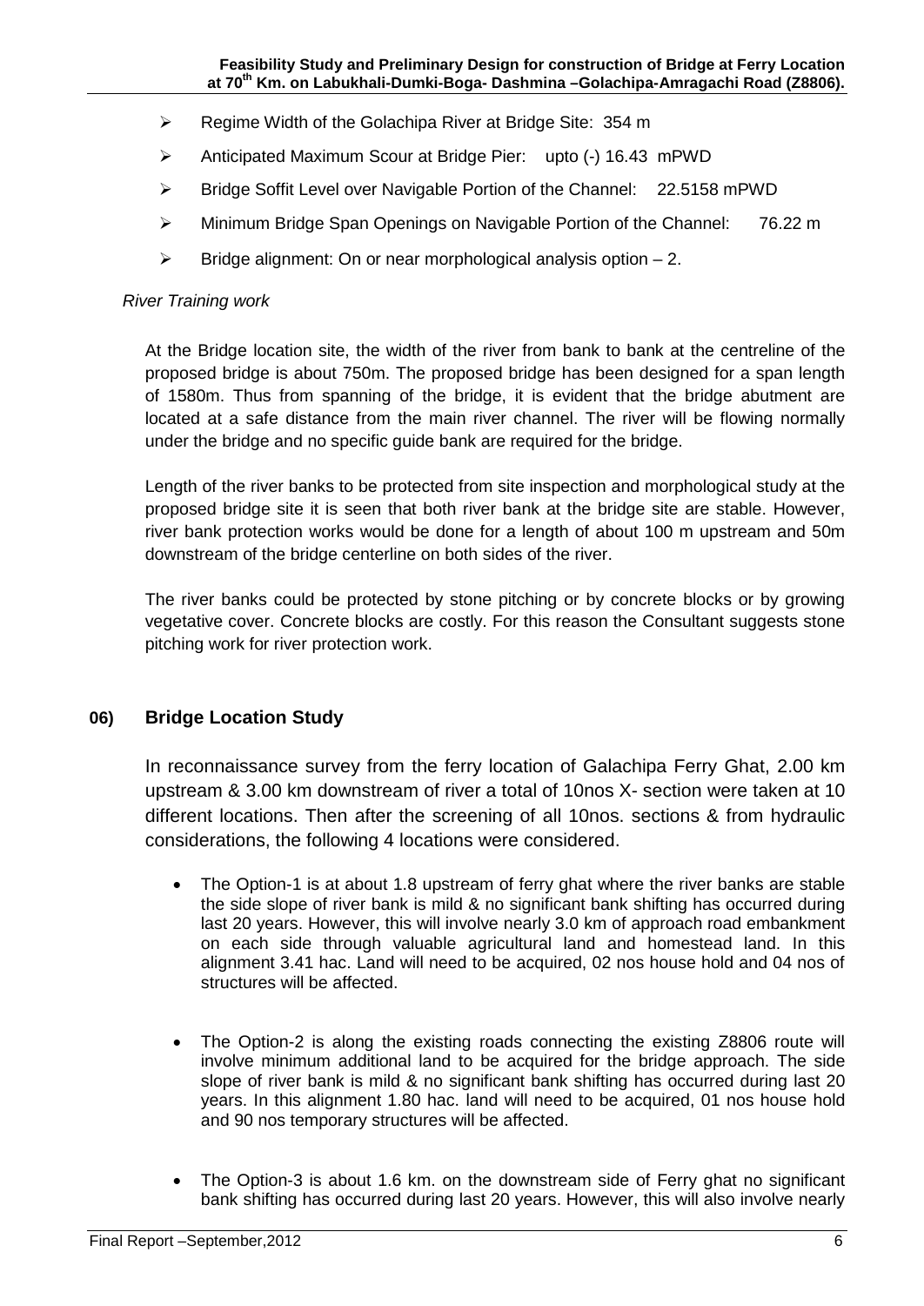- ▶ Regime Width of the Golachipa River at Bridge Site: 354 m
- Anticipated Maximum Scour at Bridge Pier: upto (-) 16.43 mPWD
- Bridge Soffit Level over Navigable Portion of the Channel: 22.5158 mPWD
- Minimum Bridge Span Openings on Navigable Portion of the Channel: 76.22 m
- $\triangleright$  Bridge alignment: On or near morphological analysis option  $-2$ .

#### *River Training work*

At the Bridge location site, the width of the river from bank to bank at the centreline of the proposed bridge is about 750m. The proposed bridge has been designed for a span length of 1580m. Thus from spanning of the bridge, it is evident that the bridge abutment are located at a safe distance from the main river channel. The river will be flowing normally under the bridge and no specific guide bank are required for the bridge.

Length of the river banks to be protected from site inspection and morphological study at the proposed bridge site it is seen that both river bank at the bridge site are stable. However, river bank protection works would be done for a length of about 100 m upstream and 50m downstream of the bridge centerline on both sides of the river.

The river banks could be protected by stone pitching or by concrete blocks or by growing vegetative cover. Concrete blocks are costly. For this reason the Consultant suggests stone pitching work for river protection work.

### **06) Bridge Location Study**

In reconnaissance survey from the ferry location of Galachipa Ferry Ghat, 2.00 km upstream & 3.00 km downstream of river a total of 10nos X- section were taken at 10 different locations. Then after the screening of all 10nos. sections & from hydraulic considerations, the following 4 locations were considered.

- The Option-1 is at about 1.8 upstream of ferry ghat where the river banks are stable the side slope of river bank is mild & no significant bank shifting has occurred during last 20 years. However, this will involve nearly 3.0 km of approach road embankment on each side through valuable agricultural land and homestead land. In this alignment 3.41 hac. Land will need to be acquired, 02 nos house hold and 04 nos of structures will be affected.
- The Option-2 is along the existing roads connecting the existing Z8806 route will involve minimum additional land to be acquired for the bridge approach. The side slope of river bank is mild & no significant bank shifting has occurred during last 20 years. In this alignment 1.80 hac. land will need to be acquired, 01 nos house hold and 90 nos temporary structures will be affected.
- The Option-3 is about 1.6 km. on the downstream side of Ferry ghat no significant bank shifting has occurred during last 20 years. However, this will also involve nearly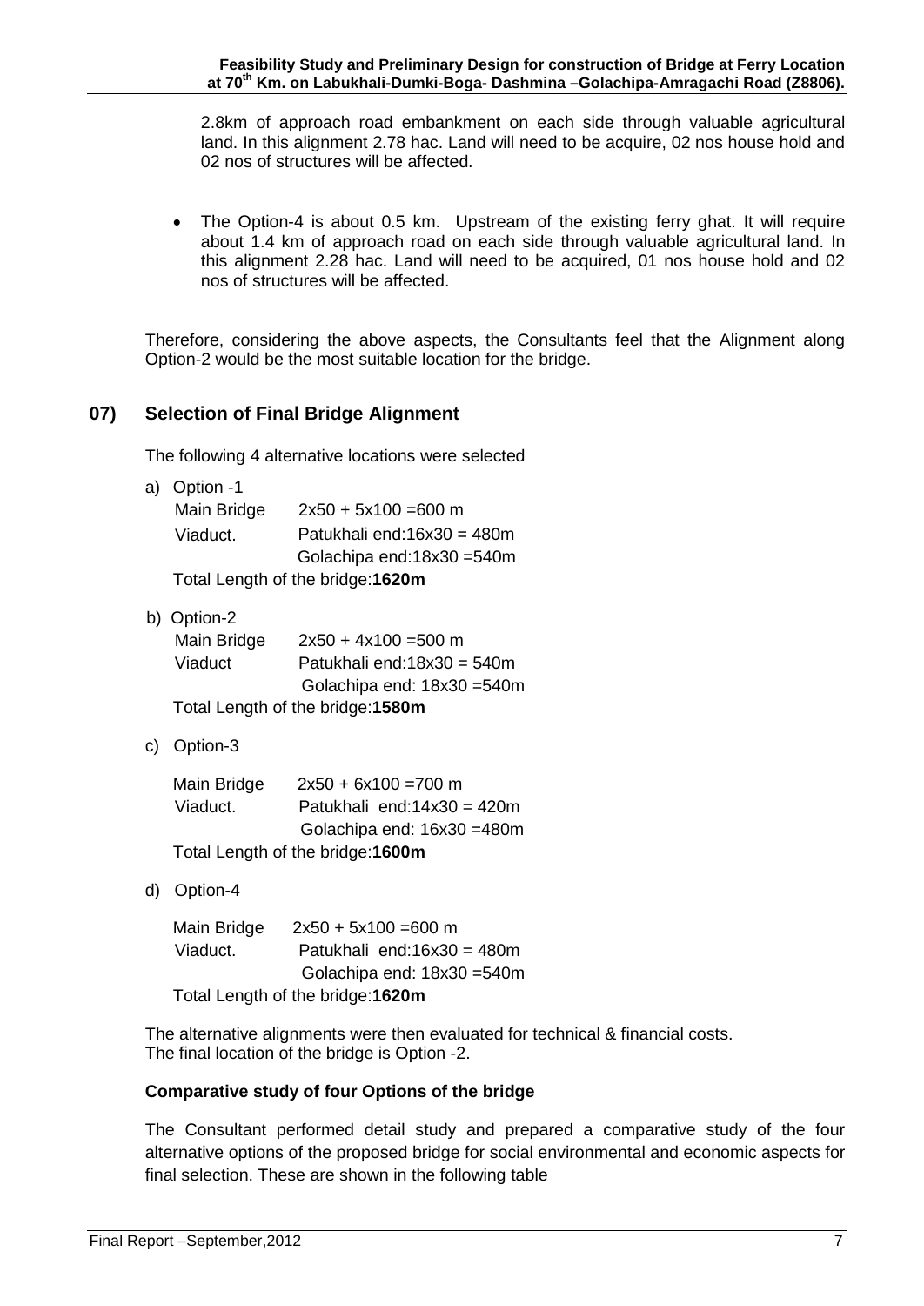2.8km of approach road embankment on each side through valuable agricultural land. In this alignment 2.78 hac. Land will need to be acquire, 02 nos house hold and 02 nos of structures will be affected.

• The Option-4 is about 0.5 km. Upstream of the existing ferry ghat. It will require about 1.4 km of approach road on each side through valuable agricultural land. In this alignment 2.28 hac. Land will need to be acquired, 01 nos house hold and 02 nos of structures will be affected.

Therefore, considering the above aspects, the Consultants feel that the Alignment along Option-2 would be the most suitable location for the bridge.

## **07) Selection of Final Bridge Alignment**

The following 4 alternative locations were selected

a) Option -1

| Main Bridge | $2x50 + 5x100 = 600$ m            |
|-------------|-----------------------------------|
| Viaduct.    | Patukhali end: $16x30 = 480m$     |
|             | Golachipa end:18x30 =540m         |
|             | Total Length of the bridge: 1620m |

b) Option-2

| Main Bridge | $2x50 + 4x100 = 500$ m            |
|-------------|-----------------------------------|
| Viaduct     | Patukhali end: $18x30 = 540m$     |
|             | Golachipa end: 18x30 = 540m       |
|             | Total Length of the bridge: 1580m |

c) Option-3

| Main Bridge | $2x50 + 6x100 = 700$ m            |
|-------------|-----------------------------------|
| Viaduct.    | Patukhali end: $14x30 = 420m$     |
|             | Golachipa end: 16x30 = 480m       |
|             | Total Length of the bridge: 1600m |

d) Option-4

| Main Bridge | $2x50 + 5x100 = 600$ m            |
|-------------|-----------------------------------|
| Viaduct.    | Patukhali end: $16x30 = 480m$     |
|             | Golachipa end: 18x30 = 540m       |
|             | Total Length of the bridge: 1620m |

The alternative alignments were then evaluated for technical & financial costs. The final location of the bridge is Option -2.

#### **Comparative study of four Options of the bridge**

The Consultant performed detail study and prepared a comparative study of the four alternative options of the proposed bridge for social environmental and economic aspects for final selection. These are shown in the following table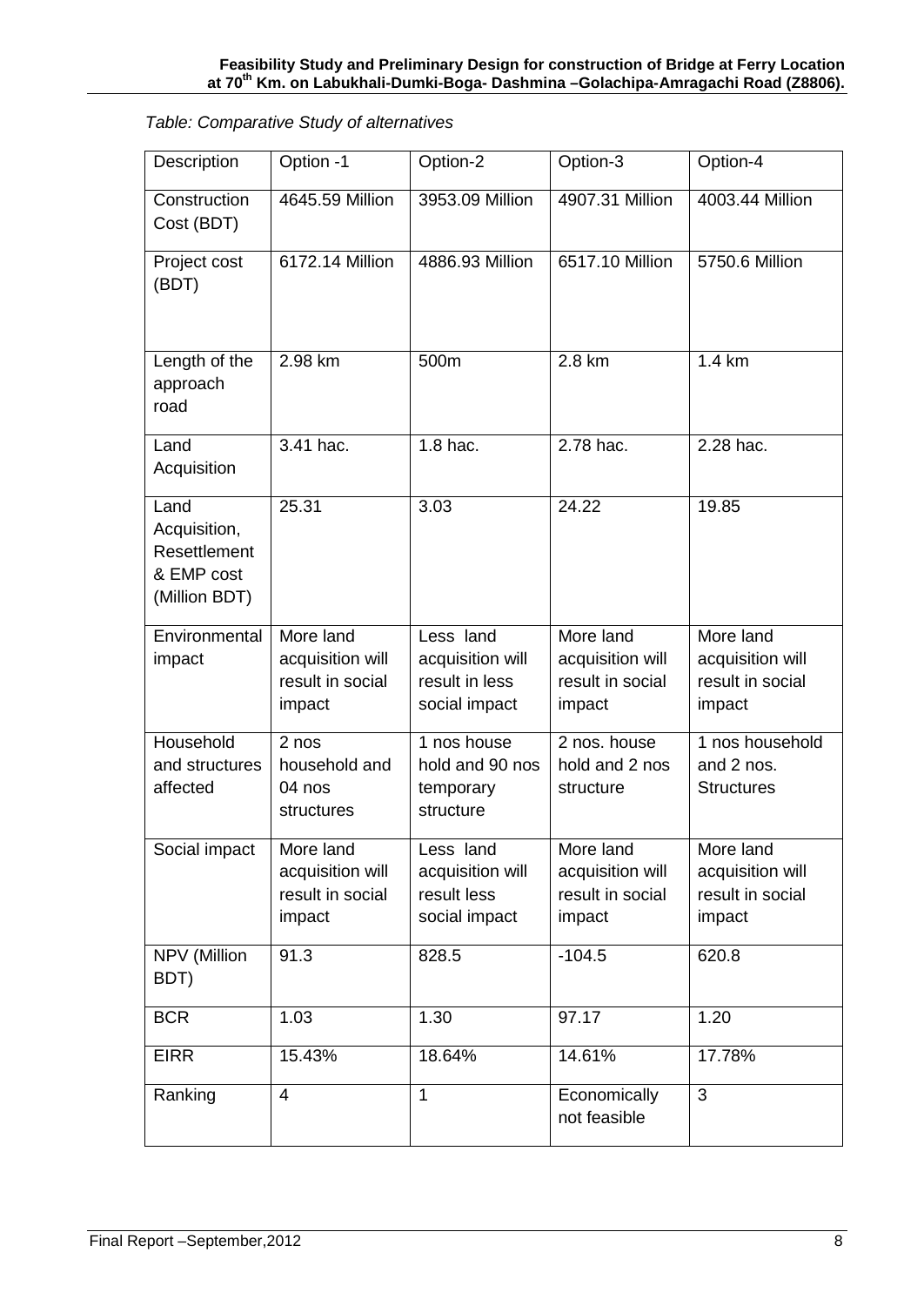## *Table: Comparative Study of alternatives*

| Description                                                         | Option -1                                                   | Option-2                                                         | Option-3                                                    | Option-4                                                    |
|---------------------------------------------------------------------|-------------------------------------------------------------|------------------------------------------------------------------|-------------------------------------------------------------|-------------------------------------------------------------|
| Construction<br>Cost (BDT)                                          | 4645.59 Million                                             | 3953.09 Million                                                  | 4907.31 Million                                             | 4003.44 Million                                             |
| Project cost<br>(BDT)                                               | 6172.14 Million                                             | 4886.93 Million                                                  | 6517.10 Million                                             | 5750.6 Million                                              |
| Length of the<br>approach<br>road                                   | 2.98 km                                                     | 500m                                                             | 2.8 km                                                      | 1.4 km                                                      |
| Land<br>Acquisition                                                 | 3.41 hac.                                                   | $1.8$ hac.                                                       | 2.78 hac.                                                   | 2.28 hac.                                                   |
| Land<br>Acquisition,<br>Resettlement<br>& EMP cost<br>(Million BDT) | 25.31                                                       | 3.03                                                             | 24.22                                                       | 19.85                                                       |
| Environmental<br>impact                                             | More land<br>acquisition will<br>result in social<br>impact | Less land<br>acquisition will<br>result in less<br>social impact | More land<br>acquisition will<br>result in social<br>impact | More land<br>acquisition will<br>result in social<br>impact |
| Household<br>and structures<br>affected                             | 2 nos<br>household and<br>04 nos<br>structures              | 1 nos house<br>hold and 90 nos<br>temporary<br>structure         | 2 nos. house<br>hold and 2 nos<br>structure                 | 1 nos household<br>and 2 nos.<br><b>Structures</b>          |
| Social impact                                                       | More land<br>acquisition will<br>result in social<br>impact | Less land<br>acquisition will<br>result less<br>social impact    | More land<br>acquisition will<br>result in social<br>impact | More land<br>acquisition will<br>result in social<br>impact |
| NPV (Million<br>BDT)                                                | 91.3                                                        | 828.5                                                            | $-104.5$                                                    | 620.8                                                       |
| <b>BCR</b>                                                          | 1.03                                                        | 1.30                                                             | 97.17                                                       | 1.20                                                        |
| <b>EIRR</b>                                                         | 15.43%                                                      | 18.64%                                                           | 14.61%                                                      | 17.78%                                                      |
| Ranking                                                             | 4                                                           | $\mathbf{1}$                                                     | Economically<br>not feasible                                | $\overline{3}$                                              |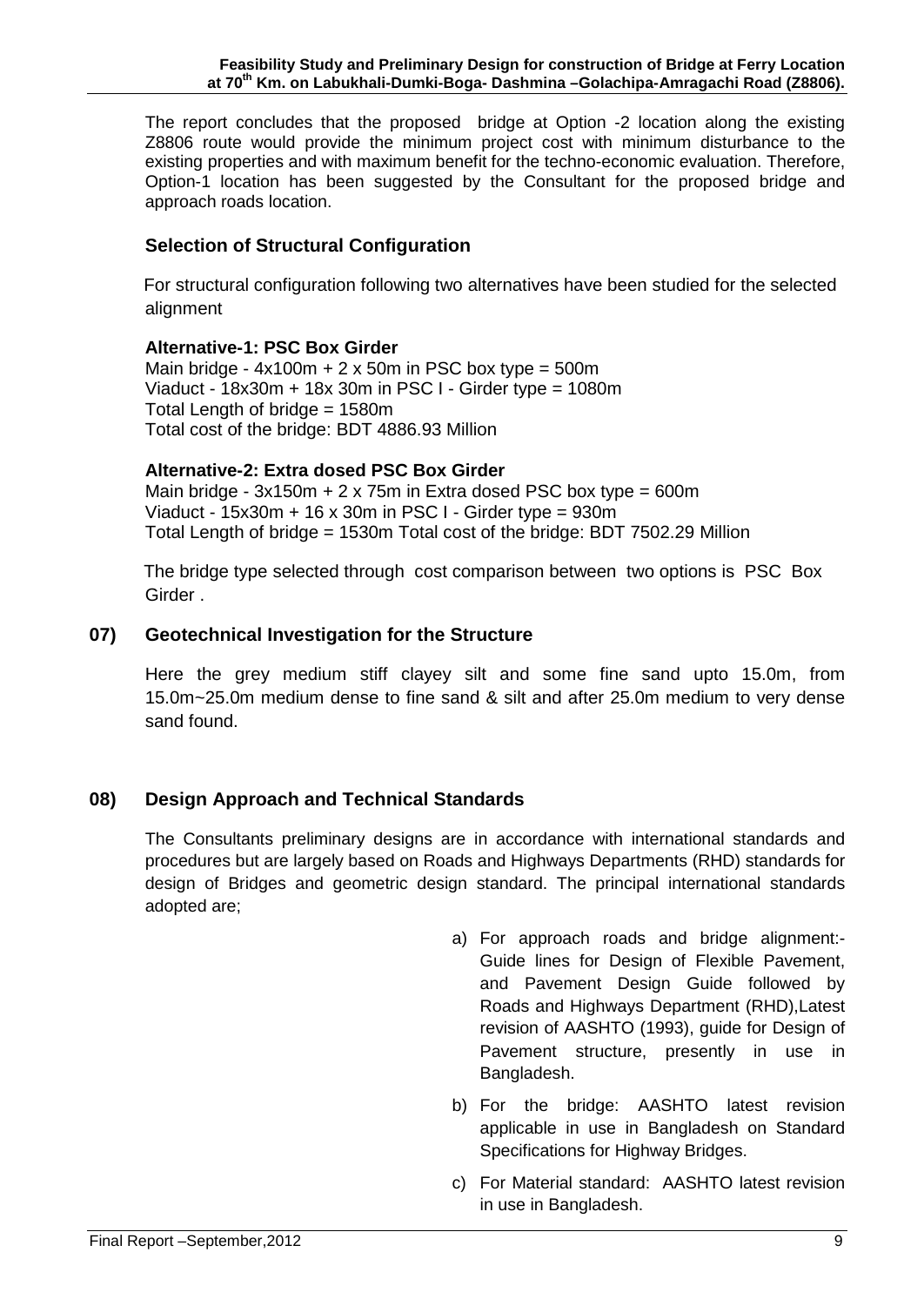The report concludes that the proposed bridge at Option -2 location along the existing Z8806 route would provide the minimum project cost with minimum disturbance to the existing properties and with maximum benefit for the techno-economic evaluation. Therefore, Option-1 location has been suggested by the Consultant for the proposed bridge and approach roads location.

## **Selection of Structural Configuration**

 For structural configuration following two alternatives have been studied for the selected alignment

#### **Alternative-1: PSC Box Girder**

Main bridge -  $4x100m + 2x50m$  in PSC box type =  $500m$  Viaduct - 18x30m + 18x 30m in PSC I - Girder type = 1080m Total Length of bridge = 1580m Total cost of the bridge: BDT 4886.93 Million

#### **Alternative-2: Extra dosed PSC Box Girder**

Main bridge -  $3x150m + 2x75m$  in Extra dosed PSC box type = 600m Viaduct -  $15x30m + 16x30m$  in PSC I - Girder type = 930m Total Length of bridge = 1530m Total cost of the bridge: BDT 7502.29 Million

 The bridge type selected through cost comparison between two options is PSC Box Girder .

### **07) Geotechnical Investigation for the Structure**

Here the grey medium stiff clayey silt and some fine sand upto 15.0m, from 15.0m~25.0m medium dense to fine sand & silt and after 25.0m medium to very dense sand found.

### **08) Design Approach and Technical Standards**

The Consultants preliminary designs are in accordance with international standards and procedures but are largely based on Roads and Highways Departments (RHD) standards for design of Bridges and geometric design standard. The principal international standards adopted are;

- a) For approach roads and bridge alignment:- Guide lines for Design of Flexible Pavement, and Pavement Design Guide followed by Roads and Highways Department (RHD),Latest revision of AASHTO (1993), guide for Design of Pavement structure, presently in use in Bangladesh.
- b) For the bridge: AASHTO latest revision applicable in use in Bangladesh on Standard Specifications for Highway Bridges.
- c) For Material standard: AASHTO latest revision in use in Bangladesh.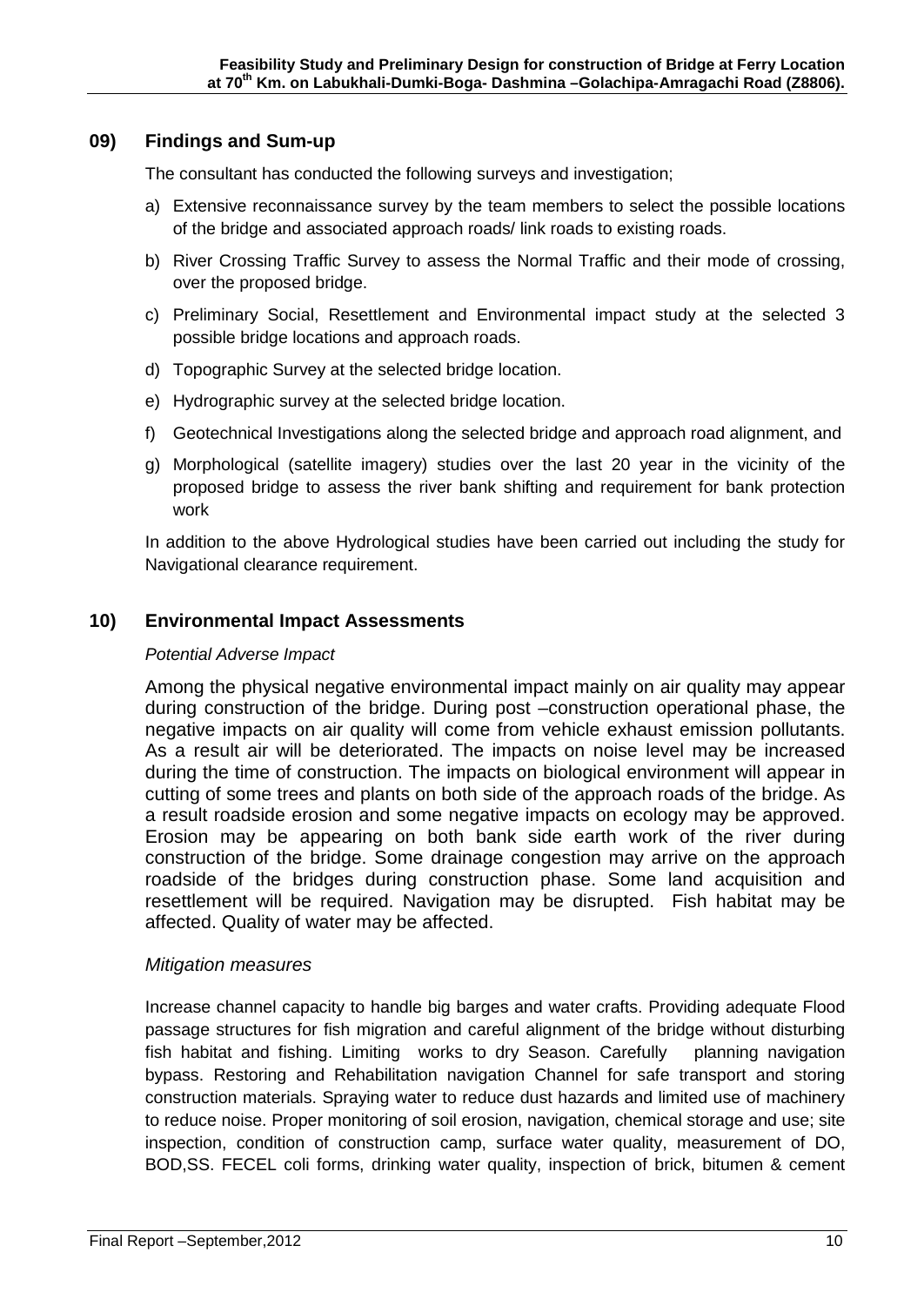#### **09) Findings and Sum-up**

The consultant has conducted the following surveys and investigation;

- a) Extensive reconnaissance survey by the team members to select the possible locations of the bridge and associated approach roads/ link roads to existing roads.
- b) River Crossing Traffic Survey to assess the Normal Traffic and their mode of crossing, over the proposed bridge.
- c) Preliminary Social, Resettlement and Environmental impact study at the selected 3 possible bridge locations and approach roads.
- d) Topographic Survey at the selected bridge location.
- e) Hydrographic survey at the selected bridge location.
- f) Geotechnical Investigations along the selected bridge and approach road alignment, and
- g) Morphological (satellite imagery) studies over the last 20 year in the vicinity of the proposed bridge to assess the river bank shifting and requirement for bank protection work

In addition to the above Hydrological studies have been carried out including the study for Navigational clearance requirement.

### **10) Environmental Impact Assessments**

#### *Potential Adverse Impact*

Among the physical negative environmental impact mainly on air quality may appear during construction of the bridge. During post –construction operational phase, the negative impacts on air quality will come from vehicle exhaust emission pollutants. As a result air will be deteriorated. The impacts on noise level may be increased during the time of construction. The impacts on biological environment will appear in cutting of some trees and plants on both side of the approach roads of the bridge. As a result roadside erosion and some negative impacts on ecology may be approved. Erosion may be appearing on both bank side earth work of the river during construction of the bridge. Some drainage congestion may arrive on the approach roadside of the bridges during construction phase. Some land acquisition and resettlement will be required. Navigation may be disrupted. Fish habitat may be affected. Quality of water may be affected.

#### *Mitigation measures*

Increase channel capacity to handle big barges and water crafts. Providing adequate Flood passage structures for fish migration and careful alignment of the bridge without disturbing fish habitat and fishing. Limiting works to dry Season. Carefully planning navigation bypass. Restoring and Rehabilitation navigation Channel for safe transport and storing construction materials. Spraying water to reduce dust hazards and limited use of machinery to reduce noise. Proper monitoring of soil erosion, navigation, chemical storage and use; site inspection, condition of construction camp, surface water quality, measurement of DO, BOD,SS. FECEL coli forms, drinking water quality, inspection of brick, bitumen & cement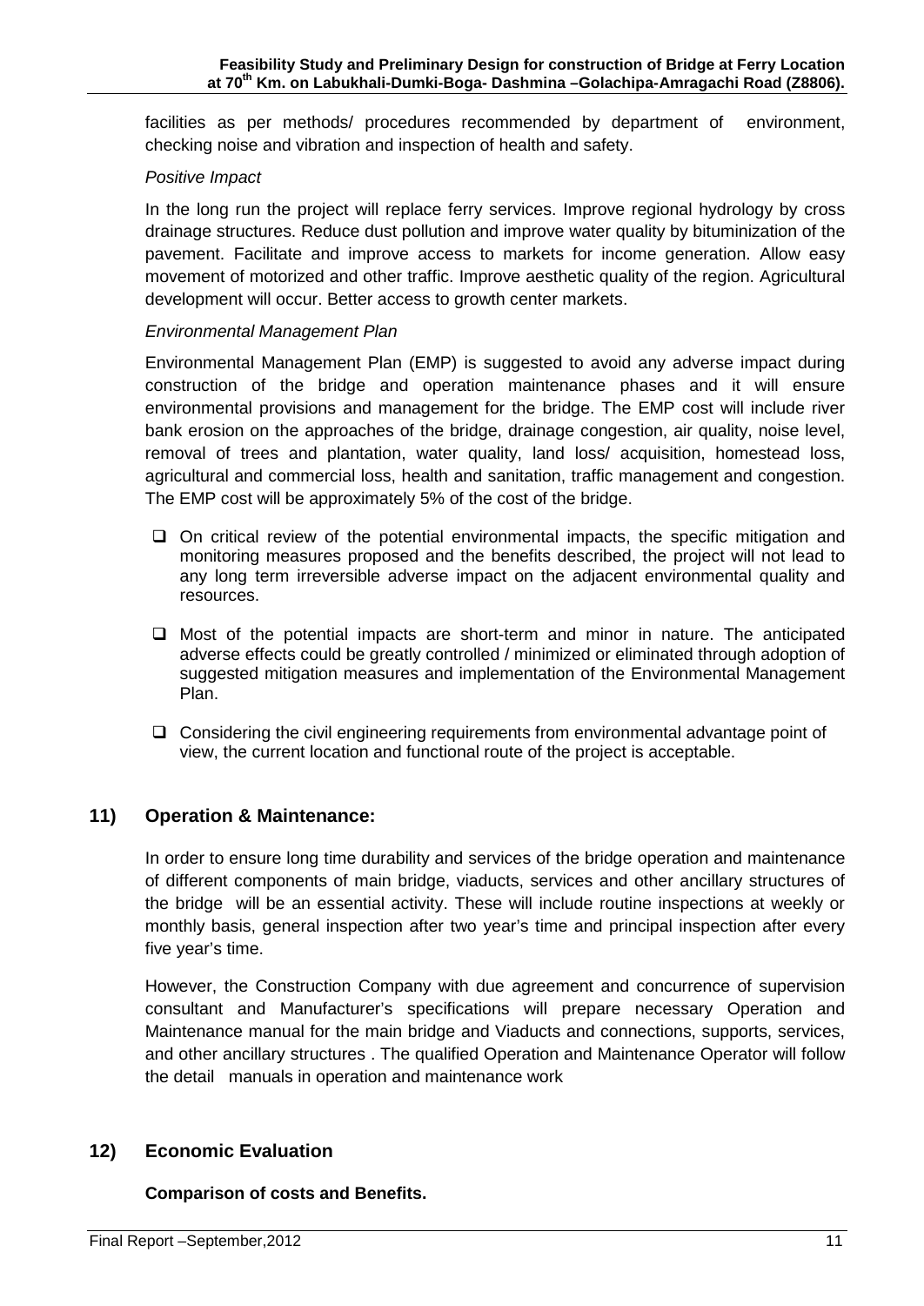facilities as per methods/ procedures recommended by department of environment, checking noise and vibration and inspection of health and safety.

#### *Positive Impact*

In the long run the project will replace ferry services. Improve regional hydrology by cross drainage structures. Reduce dust pollution and improve water quality by bituminization of the pavement. Facilitate and improve access to markets for income generation. Allow easy movement of motorized and other traffic. Improve aesthetic quality of the region. Agricultural development will occur. Better access to growth center markets.

#### *Environmental Management Plan*

Environmental Management Plan (EMP) is suggested to avoid any adverse impact during construction of the bridge and operation maintenance phases and it will ensure environmental provisions and management for the bridge. The EMP cost will include river bank erosion on the approaches of the bridge, drainage congestion, air quality, noise level, removal of trees and plantation, water quality, land loss/ acquisition, homestead loss, agricultural and commercial loss, health and sanitation, traffic management and congestion. The EMP cost will be approximately 5% of the cost of the bridge.

- $\Box$  On critical review of the potential environmental impacts, the specific mitigation and monitoring measures proposed and the benefits described, the project will not lead to any long term irreversible adverse impact on the adjacent environmental quality and resources.
- $\Box$  Most of the potential impacts are short-term and minor in nature. The anticipated adverse effects could be greatly controlled / minimized or eliminated through adoption of suggested mitigation measures and implementation of the Environmental Management Plan.
- $\Box$  Considering the civil engineering requirements from environmental advantage point of view, the current location and functional route of the project is acceptable.

### **11) Operation & Maintenance:**

In order to ensure long time durability and services of the bridge operation and maintenance of different components of main bridge, viaducts, services and other ancillary structures of the bridge will be an essential activity. These will include routine inspections at weekly or monthly basis, general inspection after two year's time and principal inspection after every five year's time.

However, the Construction Company with due agreement and concurrence of supervision consultant and Manufacturer's specifications will prepare necessary Operation and Maintenance manual for the main bridge and Viaducts and connections, supports, services, and other ancillary structures . The qualified Operation and Maintenance Operator will follow the detail manuals in operation and maintenance work

#### **12) Economic Evaluation**

#### **Comparison of costs and Benefits.**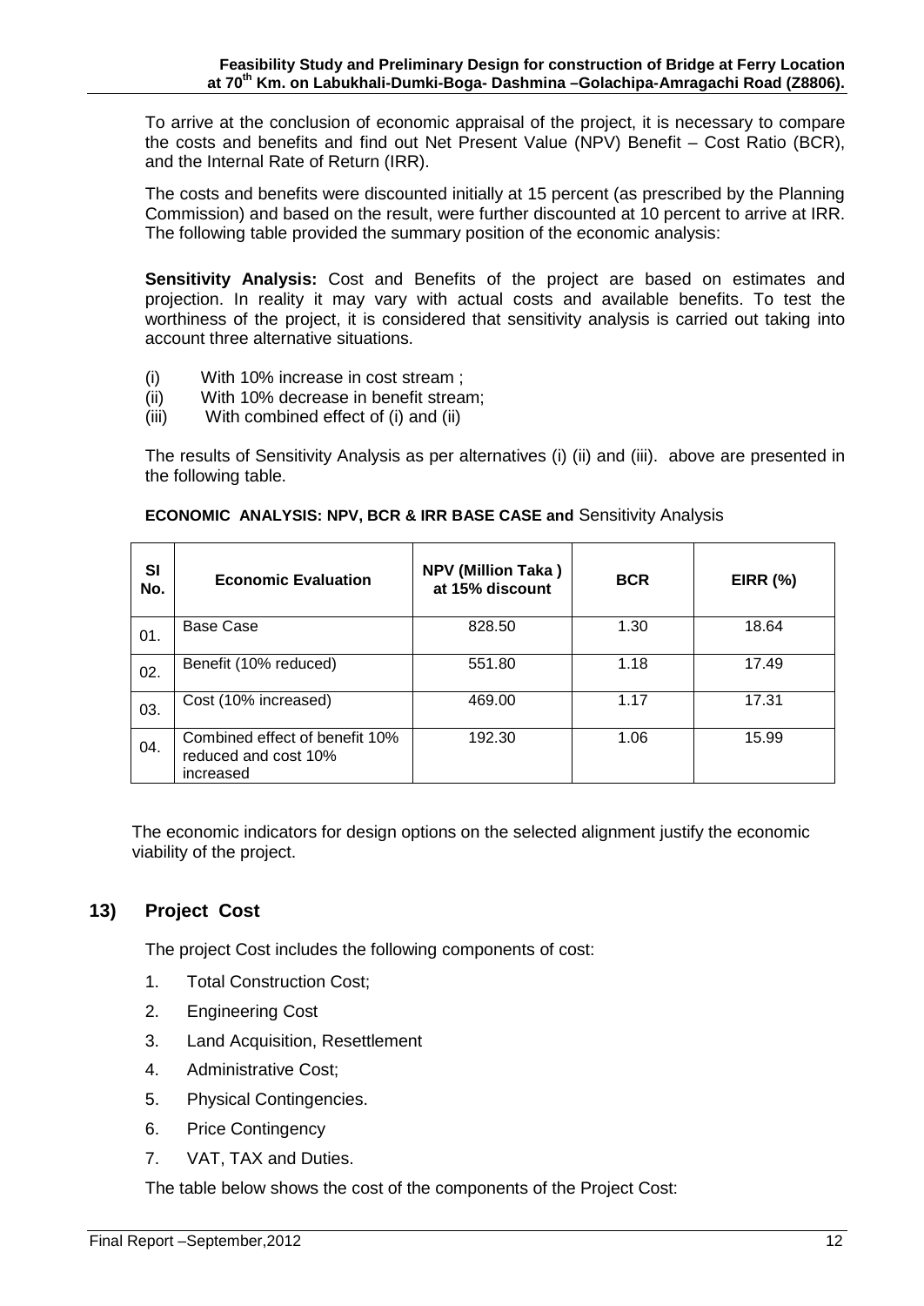To arrive at the conclusion of economic appraisal of the project, it is necessary to compare the costs and benefits and find out Net Present Value (NPV) Benefit – Cost Ratio (BCR), and the Internal Rate of Return (IRR).

The costs and benefits were discounted initially at 15 percent (as prescribed by the Planning Commission) and based on the result, were further discounted at 10 percent to arrive at IRR. The following table provided the summary position of the economic analysis:

**Sensitivity Analysis:** Cost and Benefits of the project are based on estimates and projection. In reality it may vary with actual costs and available benefits. To test the worthiness of the project, it is considered that sensitivity analysis is carried out taking into account three alternative situations.

- (i) With 10% increase in cost stream ;
- (ii) With 10% decrease in benefit stream;
- (iii) With combined effect of (i) and (ii)

The results of Sensitivity Analysis as per alternatives (i) (ii) and (iii). above are presented in the following table.

| SI<br>No. | <b>Economic Evaluation</b>                                          | <b>NPV (Million Taka)</b><br>at 15% discount | <b>BCR</b> | <b>EIRR (%)</b> |
|-----------|---------------------------------------------------------------------|----------------------------------------------|------------|-----------------|
| 01.       | <b>Base Case</b>                                                    | 828.50                                       | 1.30       | 18.64           |
| 02.       | Benefit (10% reduced)                                               | 551.80                                       | 1.18       | 17.49           |
| 03.       | Cost (10% increased)                                                | 469.00                                       | 1.17       | 17.31           |
| 04.       | Combined effect of benefit 10%<br>reduced and cost 10%<br>increased | 192.30                                       | 1.06       | 15.99           |

#### **ECONOMIC ANALYSIS: NPV, BCR & IRR BASE CASE and** Sensitivity Analysis

 The economic indicators for design options on the selected alignment justify the economic viability of the project.

## **13) Project Cost**

The project Cost includes the following components of cost:

- 1. Total Construction Cost;
- 2. Engineering Cost
- 3. Land Acquisition, Resettlement
- 4. Administrative Cost;
- 5. Physical Contingencies.
- 6. Price Contingency
- 7. VAT, TAX and Duties.

The table below shows the cost of the components of the Project Cost: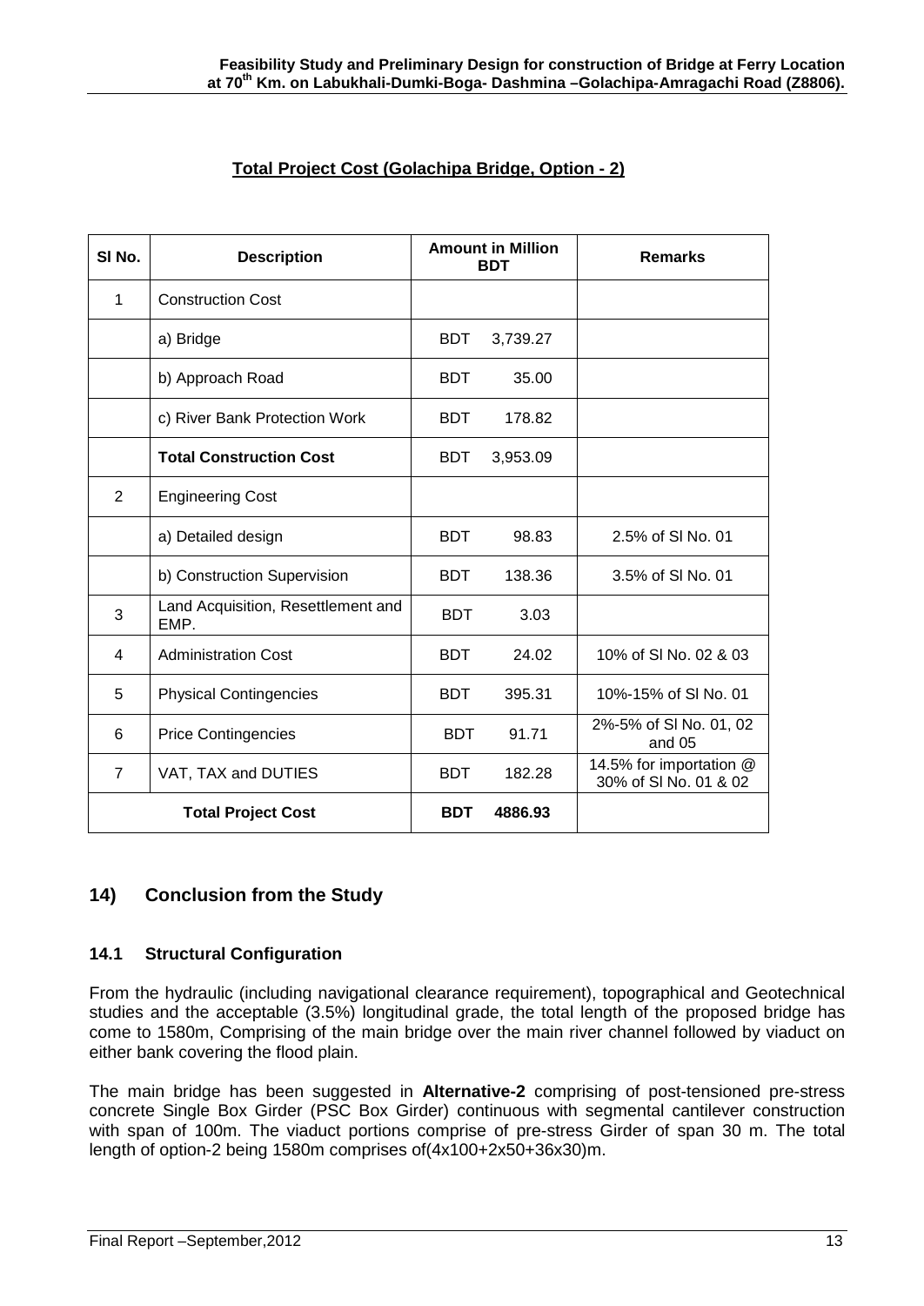## **Total Project Cost (Golachipa Bridge, Option - 2)**

| SI <sub>No.</sub> | <b>Description</b>                         | <b>Amount in Million</b><br><b>BDT</b> |          | <b>Remarks</b>                                   |
|-------------------|--------------------------------------------|----------------------------------------|----------|--------------------------------------------------|
| 1                 | <b>Construction Cost</b>                   |                                        |          |                                                  |
|                   | a) Bridge                                  | <b>BDT</b>                             | 3,739.27 |                                                  |
|                   | b) Approach Road                           | <b>BDT</b>                             | 35.00    |                                                  |
|                   | c) River Bank Protection Work              | <b>BDT</b>                             | 178.82   |                                                  |
|                   | <b>Total Construction Cost</b>             | <b>BDT</b>                             | 3,953.09 |                                                  |
| 2                 | <b>Engineering Cost</b>                    |                                        |          |                                                  |
|                   | a) Detailed design                         | <b>BDT</b>                             | 98.83    | 2.5% of SI No. 01                                |
|                   | b) Construction Supervision                | <b>BDT</b>                             | 138.36   | 3.5% of SI No. 01                                |
| 3                 | Land Acquisition, Resettlement and<br>EMP. | <b>BDT</b>                             | 3.03     |                                                  |
| 4                 | <b>Administration Cost</b>                 | <b>BDT</b>                             | 24.02    | 10% of SI No. 02 & 03                            |
| 5                 | <b>Physical Contingencies</b>              | <b>BDT</b>                             | 395.31   | 10%-15% of SI No. 01                             |
| 6                 | <b>Price Contingencies</b>                 | <b>BDT</b>                             | 91.71    | 2%-5% of SI No. 01, 02<br>and 05                 |
| $\overline{7}$    | VAT, TAX and DUTIES                        | <b>BDT</b>                             | 182.28   | 14.5% for importation @<br>30% of SI No. 01 & 02 |
|                   | <b>Total Project Cost</b>                  | <b>BDT</b>                             | 4886.93  |                                                  |

## **14) Conclusion from the Study**

#### **14.1 Structural Configuration**

From the hydraulic (including navigational clearance requirement), topographical and Geotechnical studies and the acceptable (3.5%) longitudinal grade, the total length of the proposed bridge has come to 1580m, Comprising of the main bridge over the main river channel followed by viaduct on either bank covering the flood plain.

The main bridge has been suggested in **Alternative-2** comprising of post-tensioned pre-stress concrete Single Box Girder (PSC Box Girder) continuous with segmental cantilever construction with span of 100m. The viaduct portions comprise of pre-stress Girder of span 30 m. The total length of option-2 being 1580m comprises of(4x100+2x50+36x30)m.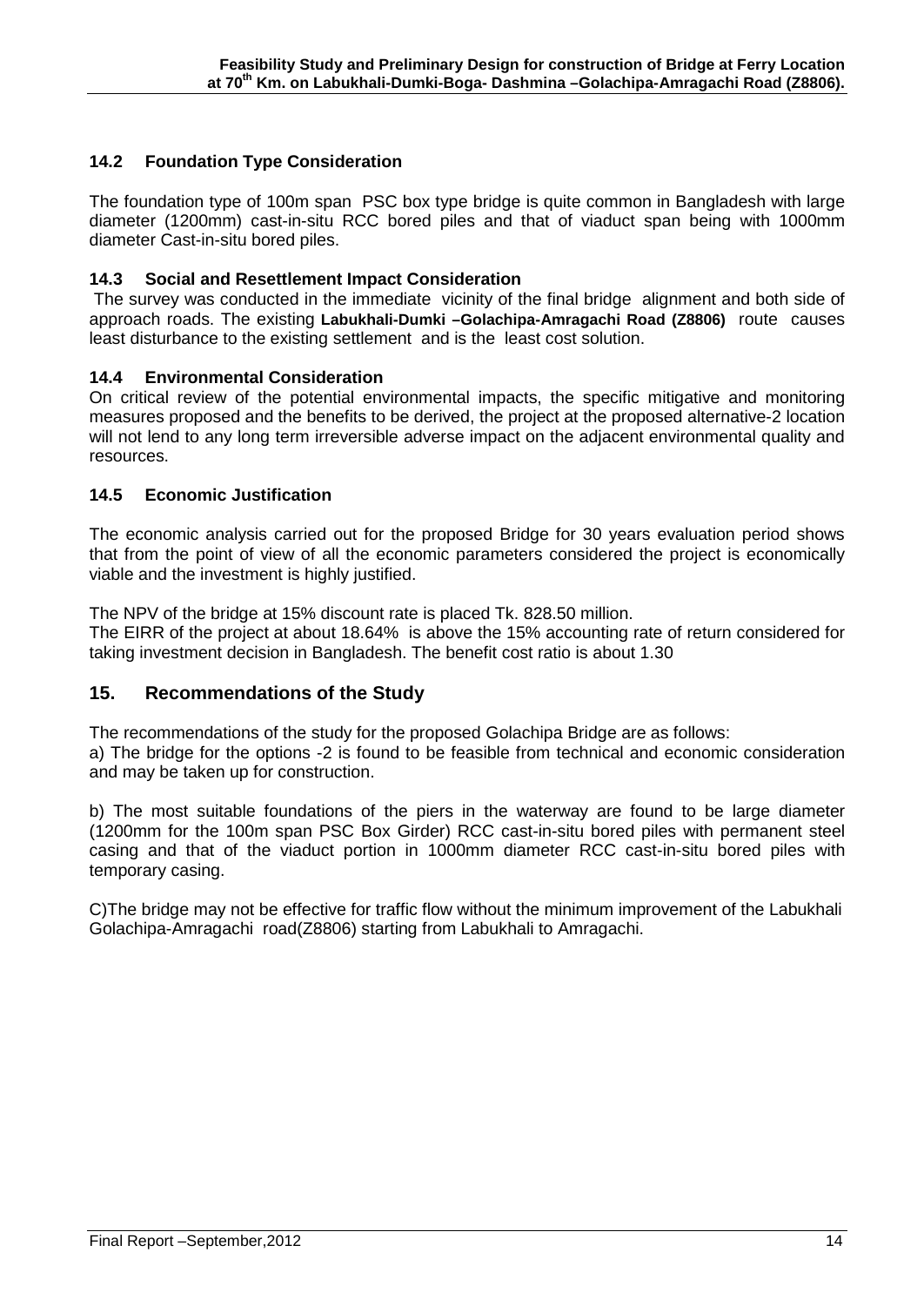## **14.2 Foundation Type Consideration**

The foundation type of 100m span PSC box type bridge is quite common in Bangladesh with large diameter (1200mm) cast-in-situ RCC bored piles and that of viaduct span being with 1000mm diameter Cast-in-situ bored piles.

#### **14.3 Social and Resettlement Impact Consideration**

The survey was conducted in the immediate vicinity of the final bridge alignment and both side of approach roads. The existing **Labukhali-Dumki –Golachipa-Amragachi Road (Z8806)** route causes least disturbance to the existing settlement and is the least cost solution.

#### **14.4 Environmental Consideration**

On critical review of the potential environmental impacts, the specific mitigative and monitoring measures proposed and the benefits to be derived, the project at the proposed alternative-2 location will not lend to any long term irreversible adverse impact on the adjacent environmental quality and resources.

#### **14.5 Economic Justification**

The economic analysis carried out for the proposed Bridge for 30 years evaluation period shows that from the point of view of all the economic parameters considered the project is economically viable and the investment is highly justified.

The NPV of the bridge at 15% discount rate is placed Tk. 828.50 million.

The EIRR of the project at about 18.64% is above the 15% accounting rate of return considered for taking investment decision in Bangladesh. The benefit cost ratio is about 1.30

### **15. Recommendations of the Study**

The recommendations of the study for the proposed Golachipa Bridge are as follows:

a) The bridge for the options -2 is found to be feasible from technical and economic consideration and may be taken up for construction.

b) The most suitable foundations of the piers in the waterway are found to be large diameter (1200mm for the 100m span PSC Box Girder) RCC cast-in-situ bored piles with permanent steel casing and that of the viaduct portion in 1000mm diameter RCC cast-in-situ bored piles with temporary casing.

C)The bridge may not be effective for traffic flow without the minimum improvement of the Labukhali Golachipa-Amragachi road(Z8806) starting from Labukhali to Amragachi.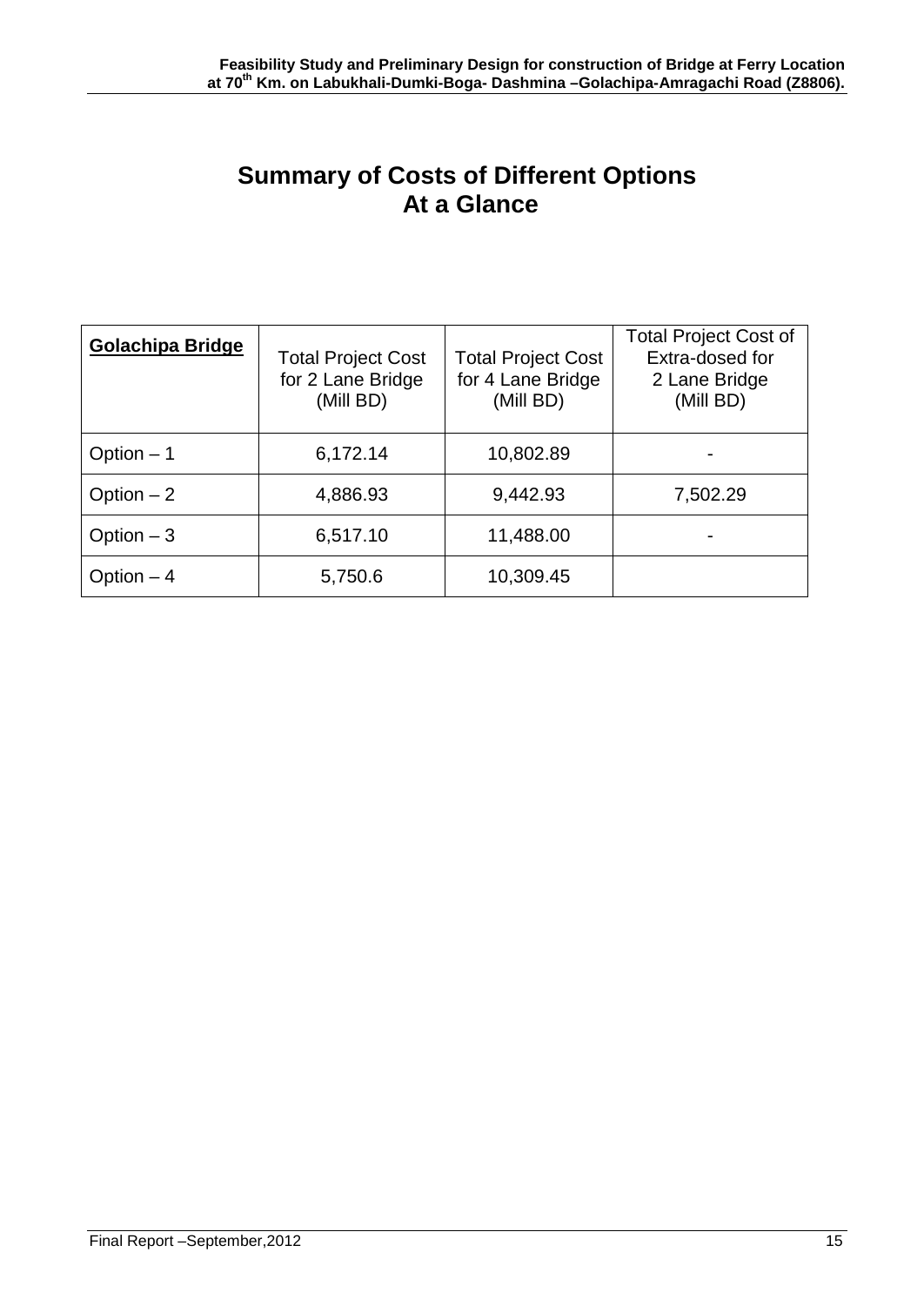# **Summary of Costs of Different Options At a Glance**

| Golachipa Bridge | <b>Total Project Cost</b><br>for 2 Lane Bridge<br>(Mill BD) | <b>Total Project Cost</b><br>for 4 Lane Bridge<br>(Mill BD) | <b>Total Project Cost of</b><br>Extra-dosed for<br>2 Lane Bridge<br>(Mill BD) |
|------------------|-------------------------------------------------------------|-------------------------------------------------------------|-------------------------------------------------------------------------------|
| Option $-1$      | 6,172.14                                                    | 10,802.89                                                   |                                                                               |
| Option $-2$      | 4,886.93                                                    | 9,442.93                                                    | 7,502.29                                                                      |
| Option $-3$      | 6,517.10                                                    | 11,488.00                                                   |                                                                               |
| Option $-4$      | 5,750.6                                                     | 10,309.45                                                   |                                                                               |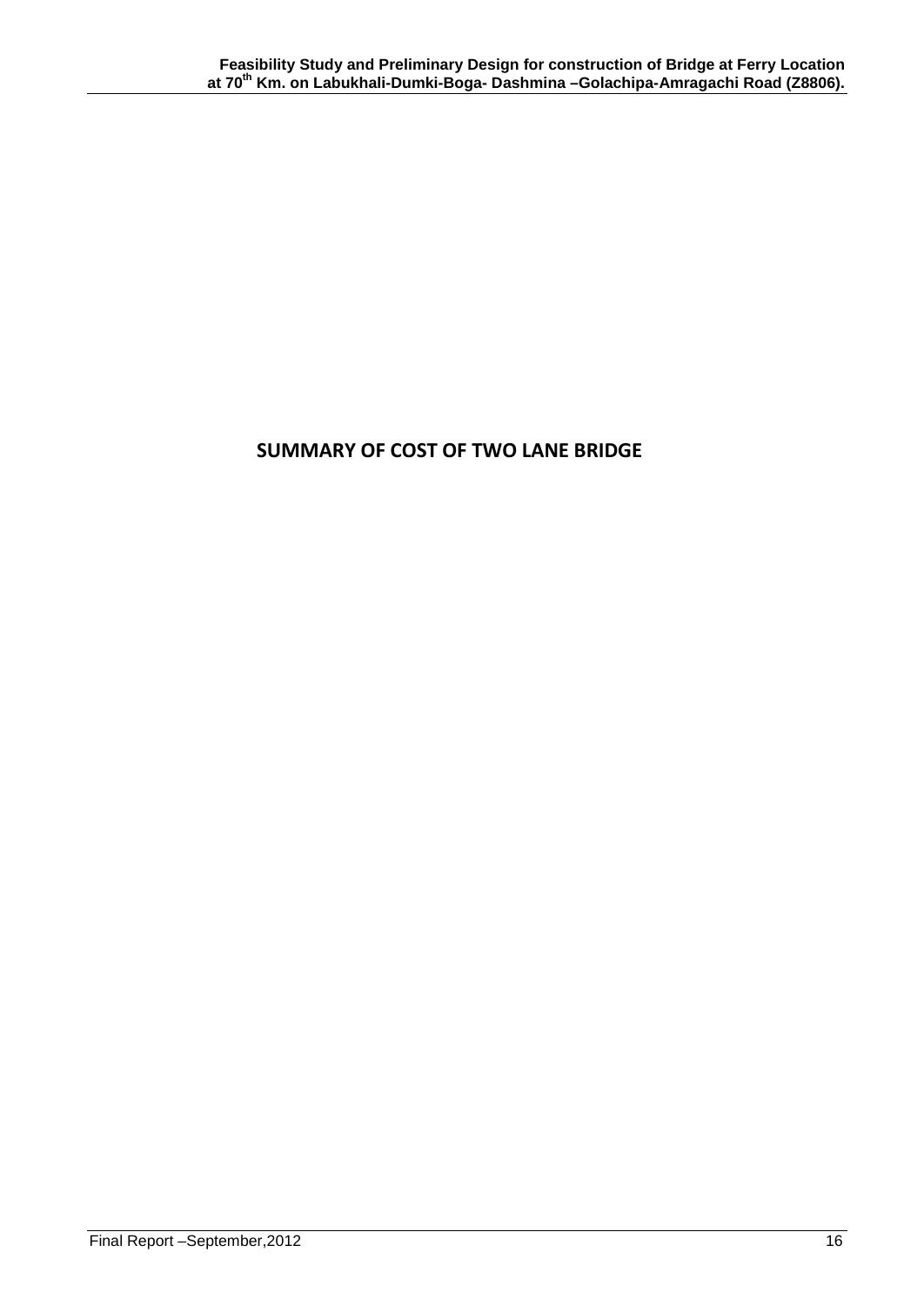## **SUMMARY OF COST OF TWO LANE BRIDGE**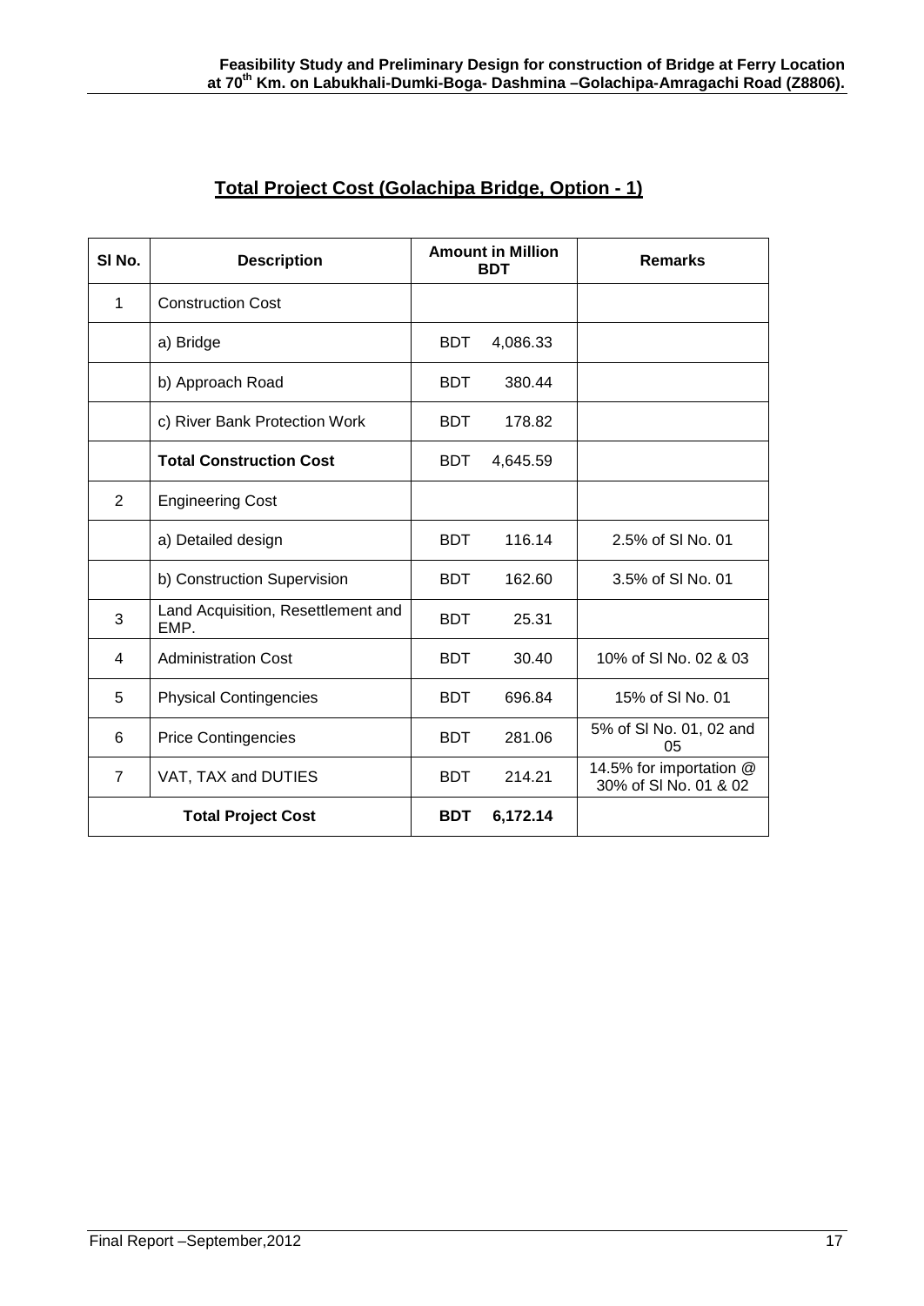## **Total Project Cost (Golachipa Bridge, Option - 1)**

| SI No.                    | <b>Description</b>                         | <b>Amount in Million</b><br><b>BDT</b> |          | <b>Remarks</b>                                   |
|---------------------------|--------------------------------------------|----------------------------------------|----------|--------------------------------------------------|
| 1                         | <b>Construction Cost</b>                   |                                        |          |                                                  |
|                           | a) Bridge                                  | BDT.                                   | 4,086.33 |                                                  |
|                           | b) Approach Road                           | <b>BDT</b>                             | 380.44   |                                                  |
|                           | c) River Bank Protection Work              | <b>BDT</b>                             | 178.82   |                                                  |
|                           | <b>Total Construction Cost</b>             | <b>BDT</b>                             | 4,645.59 |                                                  |
| 2                         | <b>Engineering Cost</b>                    |                                        |          |                                                  |
|                           | a) Detailed design                         | <b>BDT</b>                             | 116.14   | 2.5% of SI No. 01                                |
|                           | b) Construction Supervision                | <b>BDT</b>                             | 162.60   | 3.5% of SI No. 01                                |
| 3                         | Land Acquisition, Resettlement and<br>EMP. | <b>BDT</b>                             | 25.31    |                                                  |
| 4                         | <b>Administration Cost</b>                 | <b>BDT</b>                             | 30.40    | 10% of SI No. 02 & 03                            |
| 5                         | <b>Physical Contingencies</b>              | <b>BDT</b>                             | 696.84   | 15% of SI No. 01                                 |
| 6                         | <b>Price Contingencies</b>                 | <b>BDT</b>                             | 281.06   | 5% of SI No. 01, 02 and<br>0 <sub>5</sub>        |
| $\overline{7}$            | VAT, TAX and DUTIES                        | <b>BDT</b>                             | 214.21   | 14.5% for importation @<br>30% of SI No. 01 & 02 |
| <b>Total Project Cost</b> |                                            | <b>BDT</b>                             | 6,172.14 |                                                  |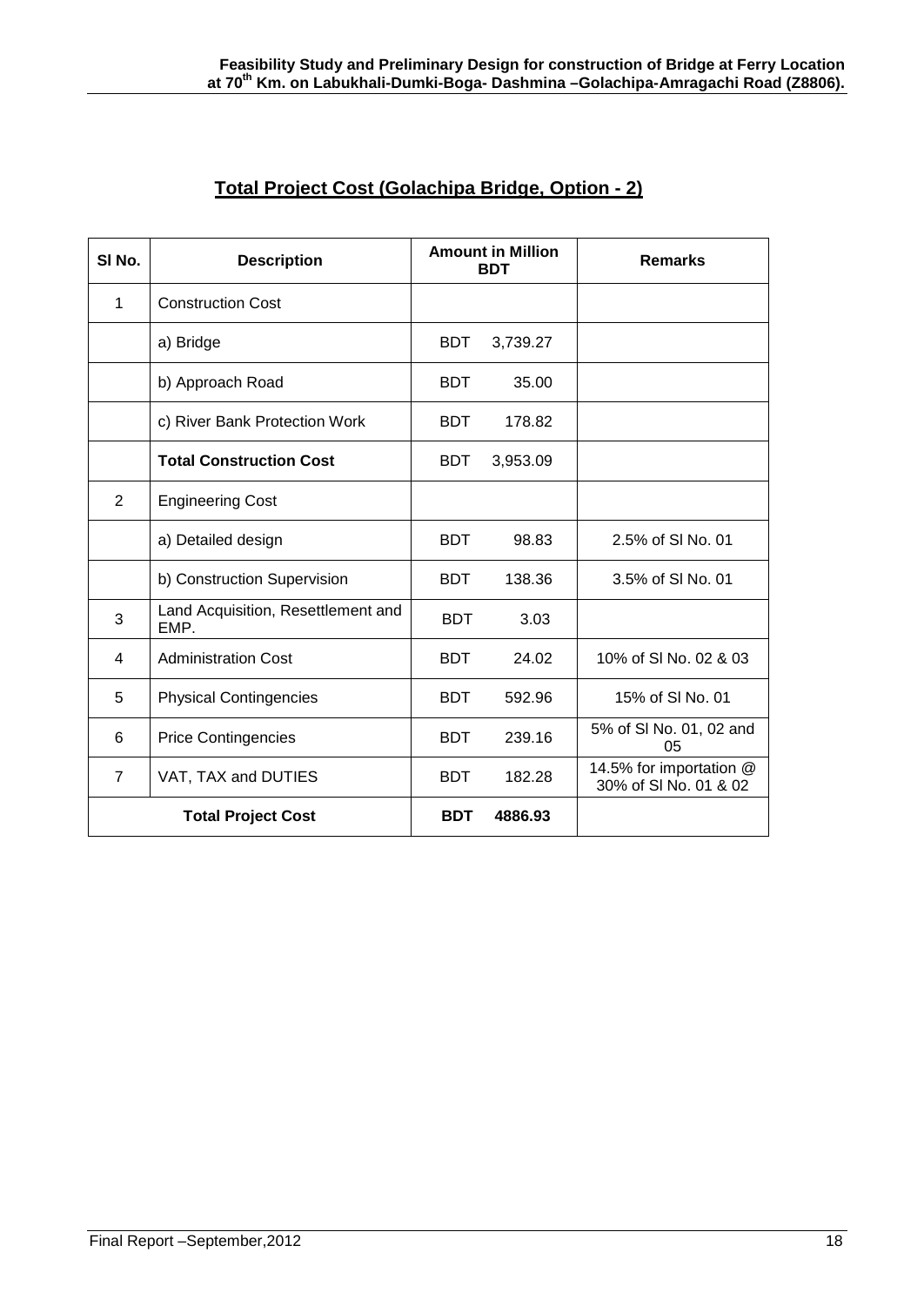## **Total Project Cost (Golachipa Bridge, Option - 2)**

| SI No.         | <b>Description</b>                         | <b>Amount in Million</b><br><b>BDT</b> |          | <b>Remarks</b>                                   |
|----------------|--------------------------------------------|----------------------------------------|----------|--------------------------------------------------|
| 1              | <b>Construction Cost</b>                   |                                        |          |                                                  |
|                | a) Bridge                                  | <b>BDT</b>                             | 3,739.27 |                                                  |
|                | b) Approach Road                           | <b>BDT</b>                             | 35.00    |                                                  |
|                | c) River Bank Protection Work              | <b>BDT</b>                             | 178.82   |                                                  |
|                | <b>Total Construction Cost</b>             | BDT                                    | 3,953.09 |                                                  |
| 2              | <b>Engineering Cost</b>                    |                                        |          |                                                  |
|                | a) Detailed design                         | <b>BDT</b>                             | 98.83    | 2.5% of SI No. 01                                |
|                | b) Construction Supervision                | <b>BDT</b>                             | 138.36   | 3.5% of SI No. 01                                |
| 3              | Land Acquisition, Resettlement and<br>EMP. | <b>BDT</b>                             | 3.03     |                                                  |
| 4              | <b>Administration Cost</b>                 | <b>BDT</b>                             | 24.02    | 10% of SI No. 02 & 03                            |
| 5              | <b>Physical Contingencies</b>              | <b>BDT</b>                             | 592.96   | 15% of SI No. 01                                 |
| 6              | <b>Price Contingencies</b>                 | <b>BDT</b>                             | 239.16   | 5% of SI No. 01, 02 and<br>05                    |
| $\overline{7}$ | VAT, TAX and DUTIES                        | <b>BDT</b>                             | 182.28   | 14.5% for importation @<br>30% of SI No. 01 & 02 |
|                | <b>Total Project Cost</b>                  | <b>BDT</b>                             | 4886.93  |                                                  |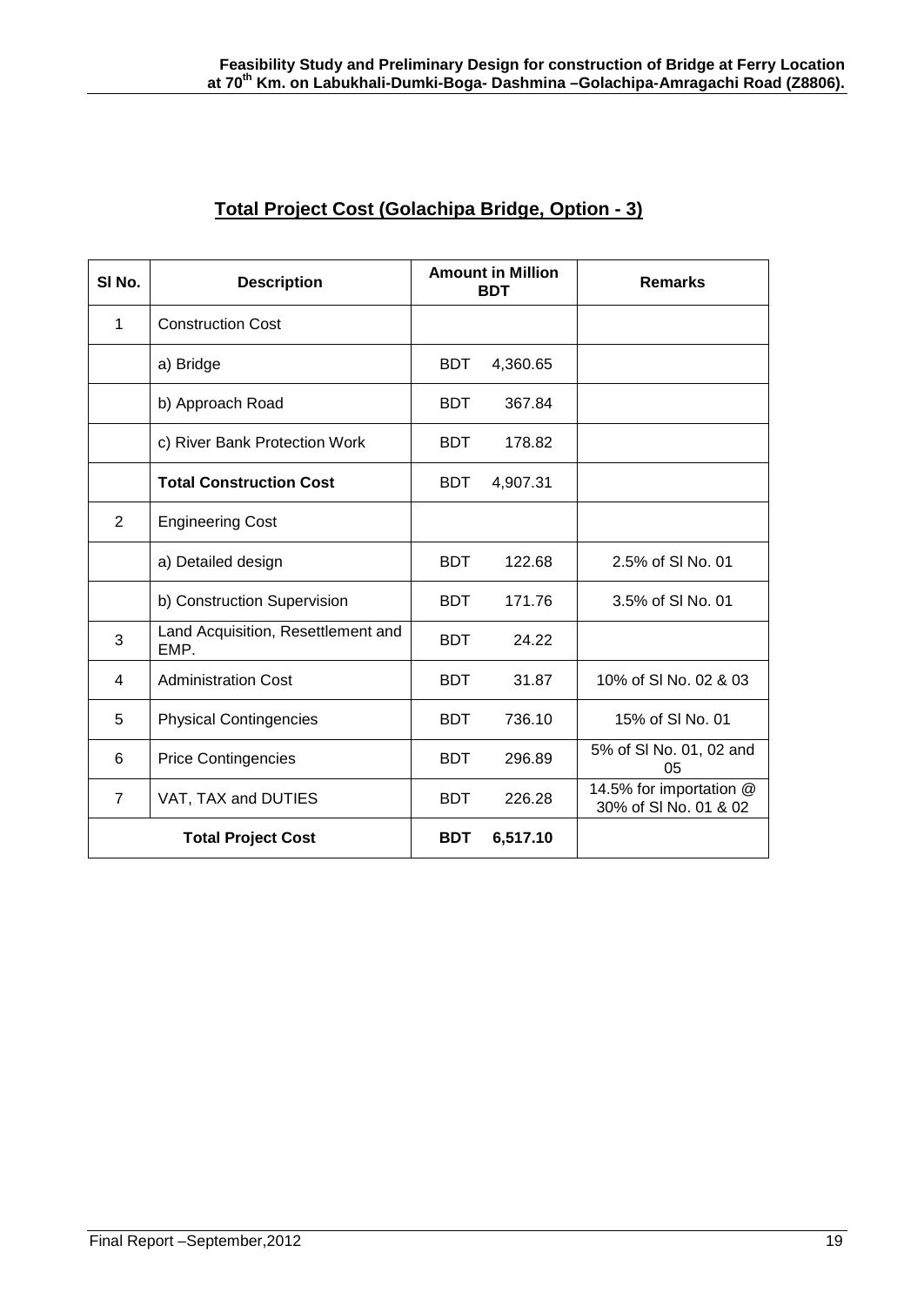| SI No.                    | <b>Description</b>                         | <b>Amount in Million</b><br><b>BDT</b> |          | <b>Remarks</b>                                   |
|---------------------------|--------------------------------------------|----------------------------------------|----------|--------------------------------------------------|
| 1                         | <b>Construction Cost</b>                   |                                        |          |                                                  |
|                           | a) Bridge                                  | <b>BDT</b>                             | 4,360.65 |                                                  |
|                           | b) Approach Road                           | <b>BDT</b>                             | 367.84   |                                                  |
|                           | c) River Bank Protection Work              | <b>BDT</b>                             | 178.82   |                                                  |
|                           | <b>Total Construction Cost</b>             | <b>BDT</b>                             | 4,907.31 |                                                  |
| 2                         | <b>Engineering Cost</b>                    |                                        |          |                                                  |
|                           | a) Detailed design                         | <b>BDT</b>                             | 122.68   | 2.5% of SI No. 01                                |
|                           | b) Construction Supervision                | <b>BDT</b>                             | 171.76   | 3.5% of SI No. 01                                |
| 3                         | Land Acquisition, Resettlement and<br>EMP. | <b>BDT</b>                             | 24.22    |                                                  |
| 4                         | <b>Administration Cost</b>                 | <b>BDT</b>                             | 31.87    | 10% of SI No. 02 & 03                            |
| 5                         | <b>Physical Contingencies</b>              | <b>BDT</b>                             | 736.10   | 15% of SI No. 01                                 |
| 6                         | <b>Price Contingencies</b>                 | <b>BDT</b>                             | 296.89   | 5% of SI No. 01, 02 and<br>05                    |
| $\overline{7}$            | VAT, TAX and DUTIES                        | <b>BDT</b>                             | 226.28   | 14.5% for importation @<br>30% of SI No. 01 & 02 |
| <b>Total Project Cost</b> |                                            | <b>BDT</b>                             | 6,517.10 |                                                  |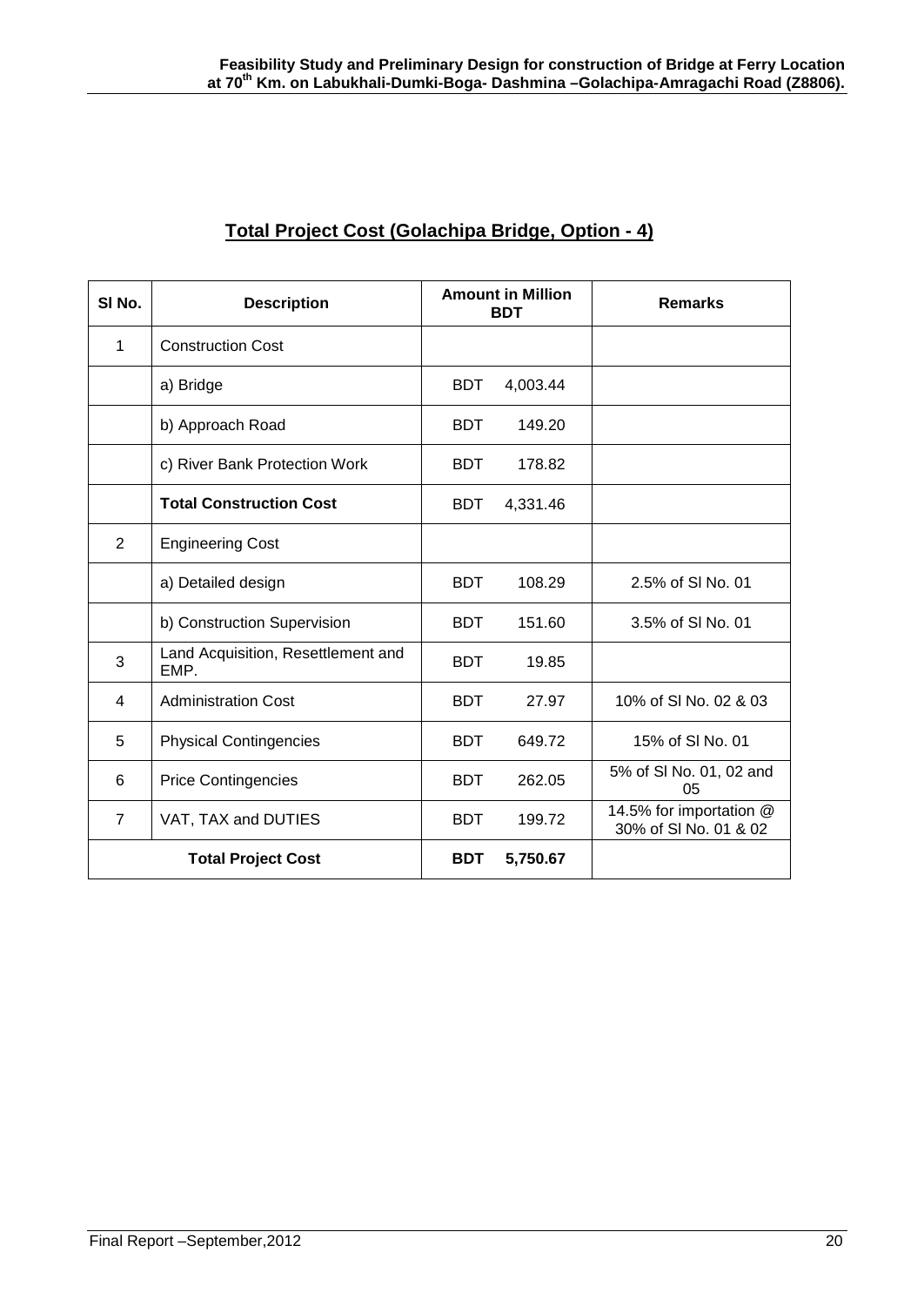| SI No.                    | <b>Description</b>                         | <b>Amount in Million</b><br><b>BDT</b> |          | <b>Remarks</b>                                   |
|---------------------------|--------------------------------------------|----------------------------------------|----------|--------------------------------------------------|
| 1                         | <b>Construction Cost</b>                   |                                        |          |                                                  |
|                           | a) Bridge                                  | <b>BDT</b>                             | 4,003.44 |                                                  |
|                           | b) Approach Road                           | <b>BDT</b>                             | 149.20   |                                                  |
|                           | c) River Bank Protection Work              | <b>BDT</b>                             | 178.82   |                                                  |
|                           | <b>Total Construction Cost</b>             | <b>BDT</b>                             | 4,331.46 |                                                  |
| 2                         | <b>Engineering Cost</b>                    |                                        |          |                                                  |
|                           | a) Detailed design                         | <b>BDT</b>                             | 108.29   | 2.5% of SI No. 01                                |
|                           | b) Construction Supervision                | <b>BDT</b>                             | 151.60   | 3.5% of SI No. 01                                |
| 3                         | Land Acquisition, Resettlement and<br>EMP. | <b>BDT</b>                             | 19.85    |                                                  |
| 4                         | <b>Administration Cost</b>                 | <b>BDT</b>                             | 27.97    | 10% of SI No. 02 & 03                            |
| 5                         | <b>Physical Contingencies</b>              | <b>BDT</b>                             | 649.72   | 15% of SI No. 01                                 |
| 6                         | <b>Price Contingencies</b>                 | <b>BDT</b>                             | 262.05   | 5% of SI No. 01, 02 and<br>05                    |
| $\overline{7}$            | VAT, TAX and DUTIES                        | <b>BDT</b>                             | 199.72   | 14.5% for importation @<br>30% of SI No. 01 & 02 |
| <b>Total Project Cost</b> |                                            | <b>BDT</b>                             | 5,750.67 |                                                  |

## **Total Project Cost (Golachipa Bridge, Option - 4)**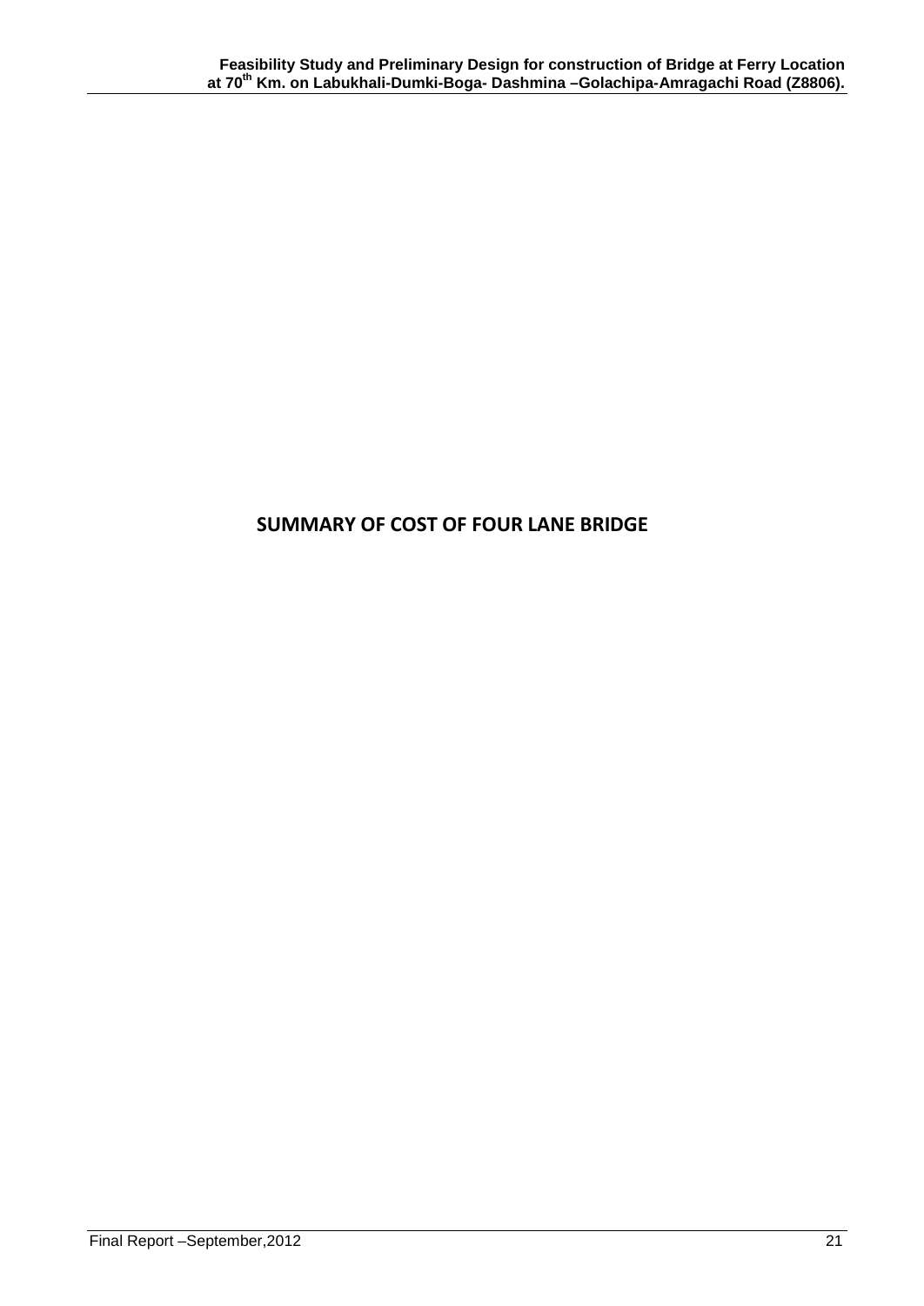## **SUMMARY OF COST OF FOUR LANE BRIDGE**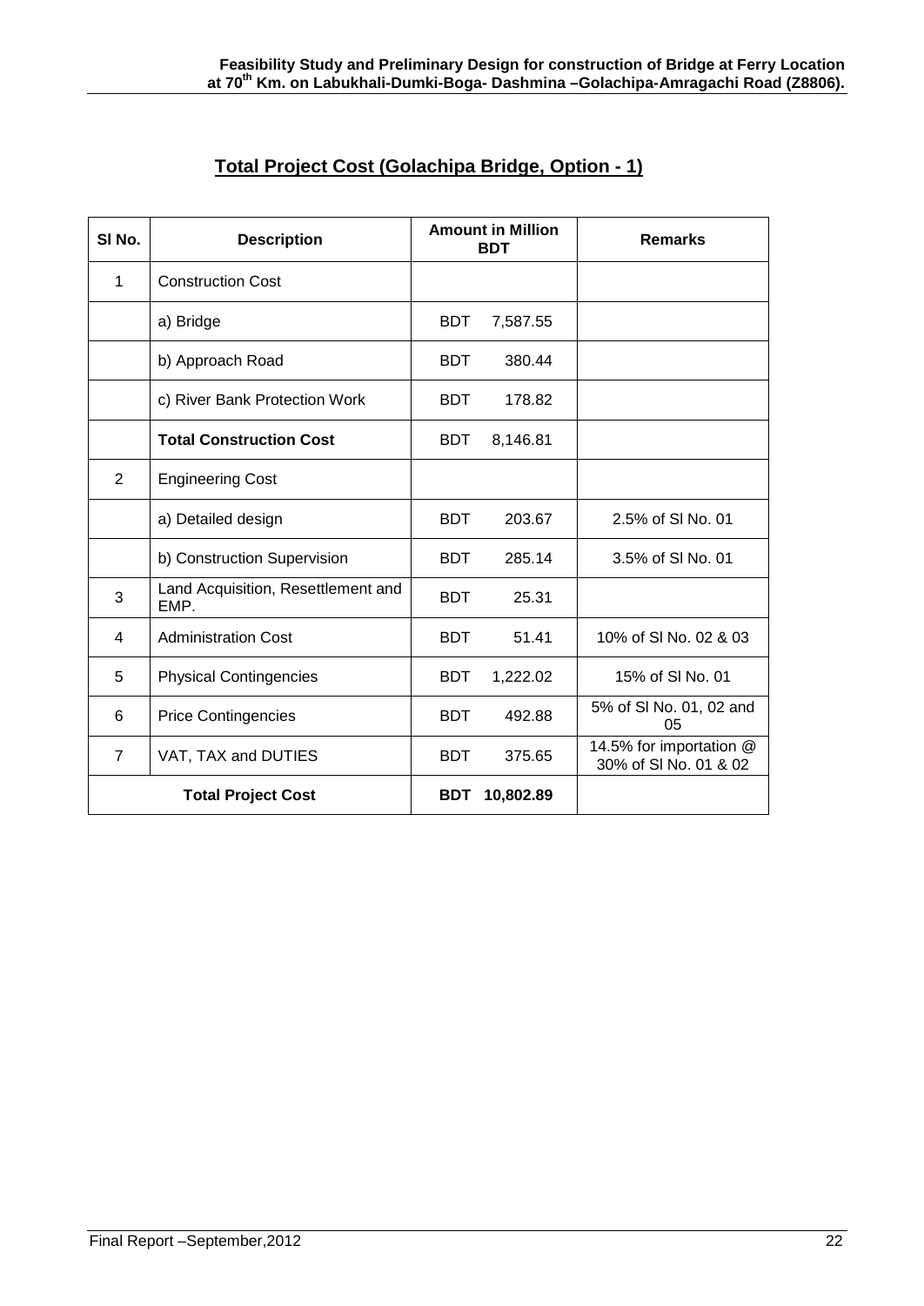| Total Project Cost (Golachipa Bridge, Option - 1) |
|---------------------------------------------------|
|---------------------------------------------------|

| SI <sub>No.</sub>         | <b>Description</b>                         | <b>Amount in Million</b><br><b>BDT</b> |           | <b>Remarks</b>                                   |
|---------------------------|--------------------------------------------|----------------------------------------|-----------|--------------------------------------------------|
| 1                         | <b>Construction Cost</b>                   |                                        |           |                                                  |
|                           | a) Bridge                                  | <b>BDT</b>                             | 7,587.55  |                                                  |
|                           | b) Approach Road                           | <b>BDT</b>                             | 380.44    |                                                  |
|                           | c) River Bank Protection Work              | <b>BDT</b>                             | 178.82    |                                                  |
|                           | <b>Total Construction Cost</b>             | <b>BDT</b>                             | 8,146.81  |                                                  |
| 2                         | <b>Engineering Cost</b>                    |                                        |           |                                                  |
|                           | a) Detailed design                         | <b>BDT</b>                             | 203.67    | 2.5% of SI No. 01                                |
|                           | b) Construction Supervision                | <b>BDT</b>                             | 285.14    | 3.5% of SI No. 01                                |
| 3                         | Land Acquisition, Resettlement and<br>EMP. | <b>BDT</b>                             | 25.31     |                                                  |
| 4                         | <b>Administration Cost</b>                 | <b>BDT</b>                             | 51.41     | 10% of SI No. 02 & 03                            |
| 5                         | <b>Physical Contingencies</b>              | <b>BDT</b>                             | 1,222.02  | 15% of SI No. 01                                 |
| 6                         | <b>Price Contingencies</b>                 | <b>BDT</b>                             | 492.88    | 5% of SI No. 01, 02 and<br>05                    |
| $\overline{7}$            | VAT, TAX and DUTIES                        | <b>BDT</b>                             | 375.65    | 14.5% for importation @<br>30% of SI No. 01 & 02 |
| <b>Total Project Cost</b> |                                            | <b>BDT</b>                             | 10,802.89 |                                                  |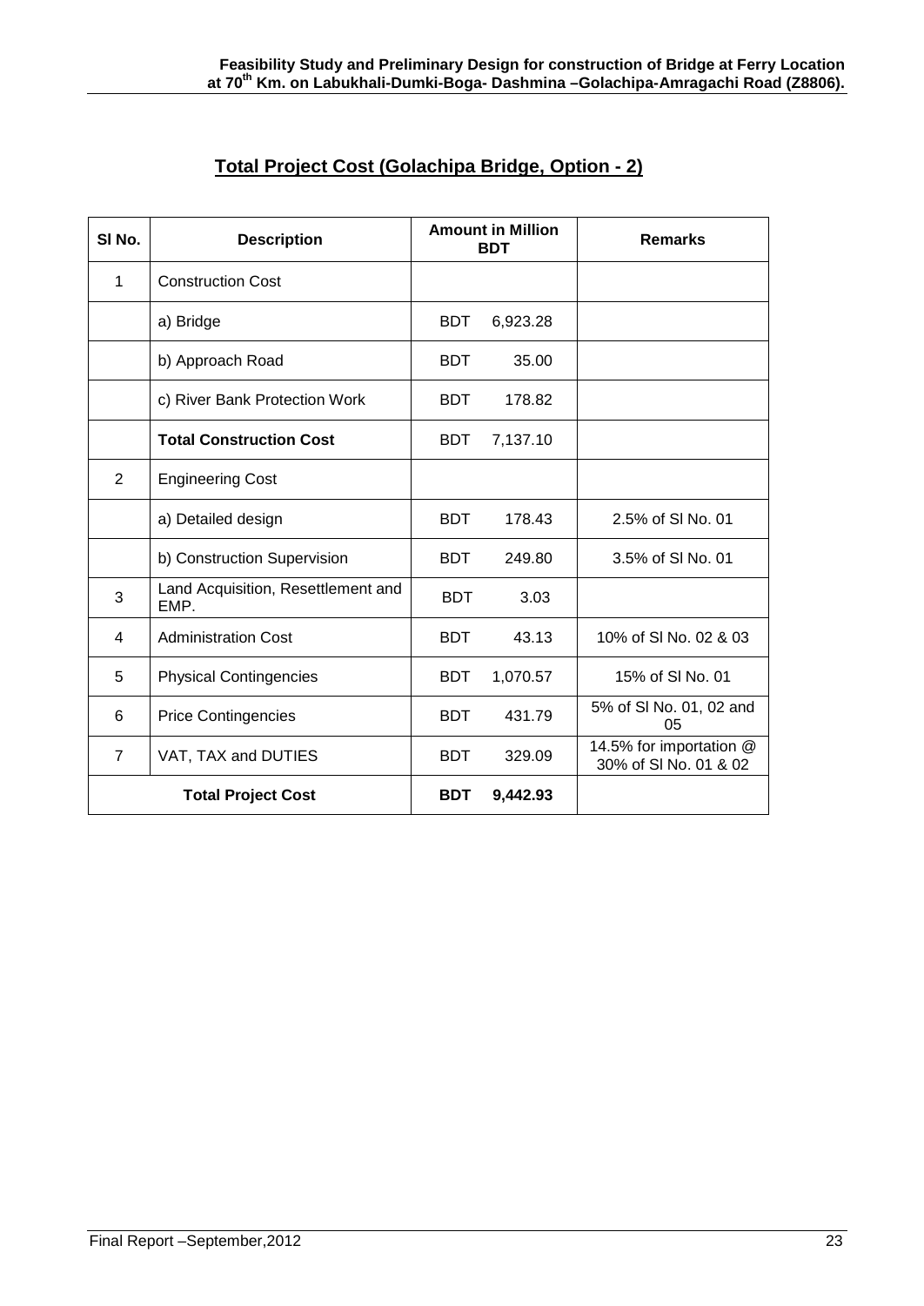| Total Project Cost (Golachipa Bridge, Option - 2) |
|---------------------------------------------------|
|---------------------------------------------------|

| SI <sub>No.</sub>         | <b>Description</b>                         | <b>Amount in Million</b><br><b>BDT</b> |          | <b>Remarks</b>                                   |
|---------------------------|--------------------------------------------|----------------------------------------|----------|--------------------------------------------------|
| 1                         | <b>Construction Cost</b>                   |                                        |          |                                                  |
|                           | a) Bridge                                  | <b>BDT</b>                             | 6,923.28 |                                                  |
|                           | b) Approach Road                           | <b>BDT</b>                             | 35.00    |                                                  |
|                           | c) River Bank Protection Work              | <b>BDT</b>                             | 178.82   |                                                  |
|                           | <b>Total Construction Cost</b>             | <b>BDT</b>                             | 7,137.10 |                                                  |
| 2                         | <b>Engineering Cost</b>                    |                                        |          |                                                  |
|                           | a) Detailed design                         | <b>BDT</b>                             | 178.43   | 2.5% of SI No. 01                                |
|                           | b) Construction Supervision                | <b>BDT</b>                             | 249.80   | 3.5% of SI No. 01                                |
| 3                         | Land Acquisition, Resettlement and<br>EMP. | <b>BDT</b>                             | 3.03     |                                                  |
| $\overline{\mathbf{4}}$   | <b>Administration Cost</b>                 | <b>BDT</b>                             | 43.13    | 10% of SI No. 02 & 03                            |
| 5                         | <b>Physical Contingencies</b>              | <b>BDT</b>                             | 1,070.57 | 15% of SI No. 01                                 |
| 6                         | <b>Price Contingencies</b>                 | <b>BDT</b>                             | 431.79   | 5% of SI No. 01, 02 and<br>05                    |
| $\overline{7}$            | VAT, TAX and DUTIES                        | <b>BDT</b>                             | 329.09   | 14.5% for importation @<br>30% of SI No. 01 & 02 |
| <b>Total Project Cost</b> |                                            | <b>BDT</b>                             | 9,442.93 |                                                  |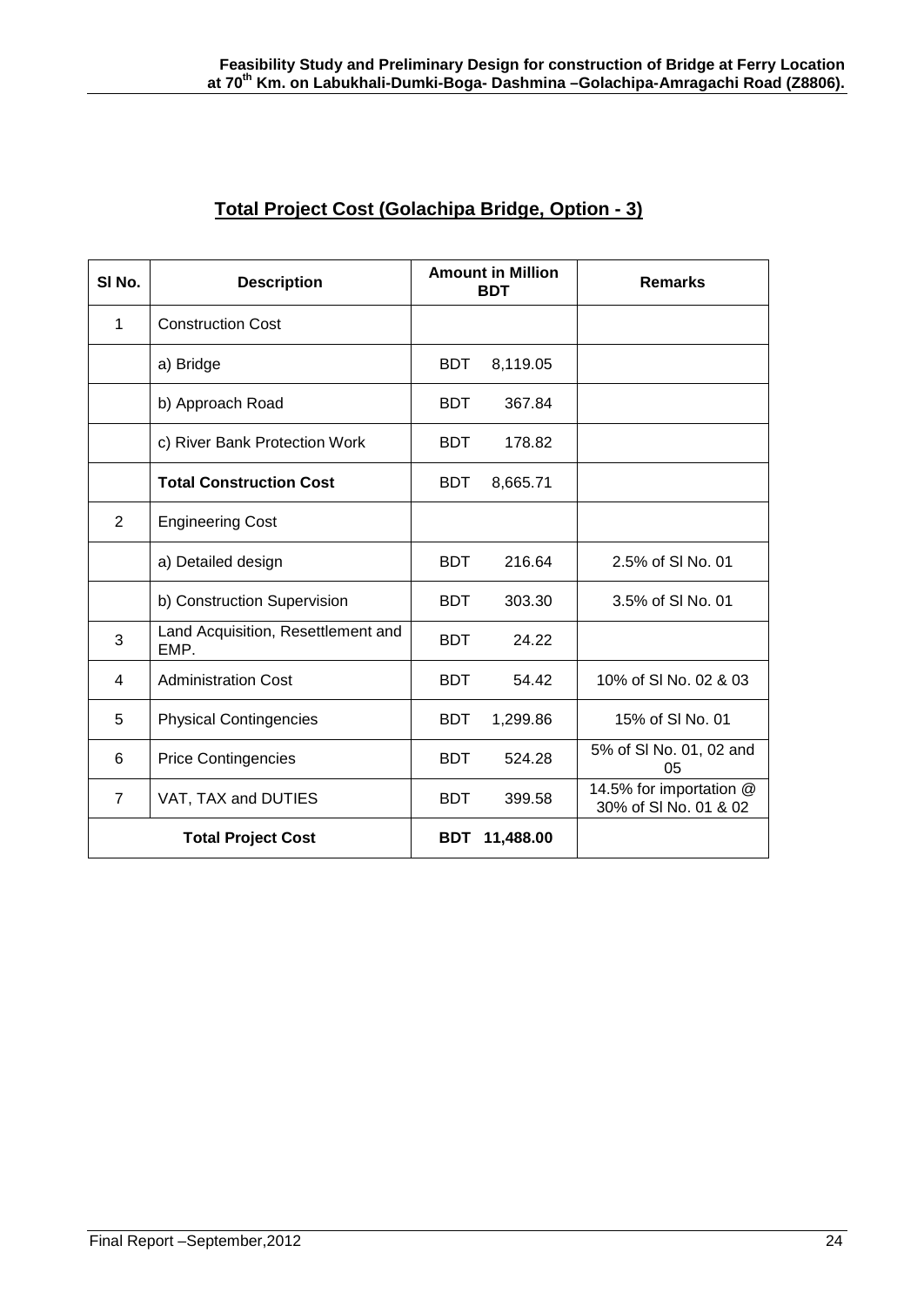| SI <sub>No.</sub>         | <b>Description</b>                         | <b>Amount in Million</b><br><b>BDT</b> |           | <b>Remarks</b>                                   |
|---------------------------|--------------------------------------------|----------------------------------------|-----------|--------------------------------------------------|
| 1                         | <b>Construction Cost</b>                   |                                        |           |                                                  |
|                           | a) Bridge                                  | <b>BDT</b>                             | 8,119.05  |                                                  |
|                           | b) Approach Road                           | <b>BDT</b>                             | 367.84    |                                                  |
|                           | c) River Bank Protection Work              | <b>BDT</b>                             | 178.82    |                                                  |
|                           | <b>Total Construction Cost</b>             | <b>BDT</b>                             | 8,665.71  |                                                  |
| $\overline{2}$            | <b>Engineering Cost</b>                    |                                        |           |                                                  |
|                           | a) Detailed design                         | <b>BDT</b>                             | 216.64    | 2.5% of SI No. 01                                |
|                           | b) Construction Supervision                | <b>BDT</b>                             | 303.30    | 3.5% of SI No. 01                                |
| 3                         | Land Acquisition, Resettlement and<br>EMP. | <b>BDT</b>                             | 24.22     |                                                  |
| 4                         | <b>Administration Cost</b>                 | <b>BDT</b>                             | 54.42     | 10% of SI No. 02 & 03                            |
| 5                         | <b>Physical Contingencies</b>              | <b>BDT</b>                             | 1,299.86  | 15% of SI No. 01                                 |
| 6                         | <b>Price Contingencies</b>                 | <b>BDT</b>                             | 524.28    | 5% of SI No. 01, 02 and<br>05                    |
| $\overline{7}$            | VAT, TAX and DUTIES                        | <b>BDT</b>                             | 399.58    | 14.5% for importation @<br>30% of SI No. 01 & 02 |
| <b>Total Project Cost</b> |                                            | <b>BDT</b>                             | 11,488.00 |                                                  |